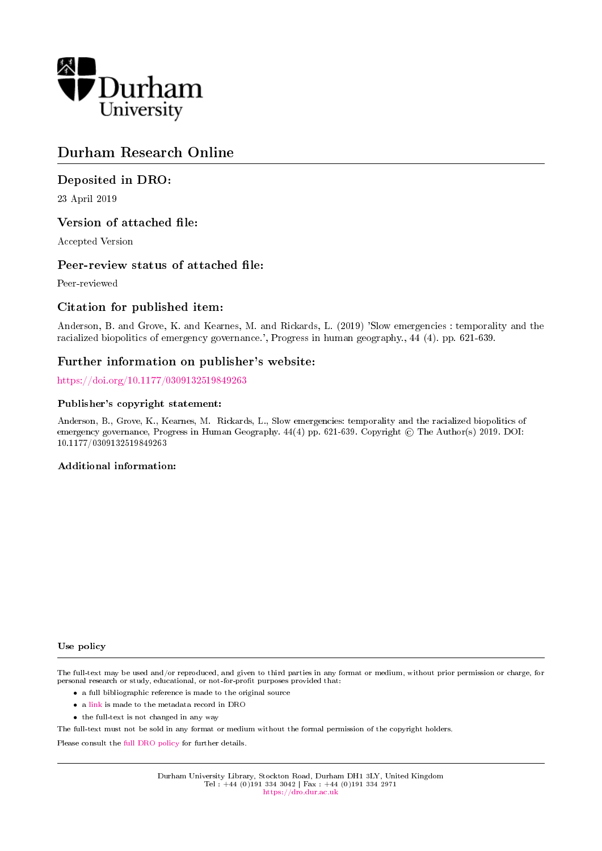

# Durham Research Online

## Deposited in DRO:

23 April 2019

### Version of attached file:

Accepted Version

### Peer-review status of attached file:

Peer-reviewed

## Citation for published item:

Anderson, B. and Grove, K. and Kearnes, M. and Rickards, L. (2019) 'Slow emergencies : temporality and the racialized biopolitics of emergency governance.', Progress in human geography., 44 (4). pp. 621-639.

### Further information on publisher's website:

<https://doi.org/10.1177/0309132519849263>

#### Publisher's copyright statement:

Anderson, B., Grove, K., Kearnes, M. Rickards, L., Slow emergencies: temporality and the racialized biopolitics of emergency governance, Progress in Human Geography. 44(4) pp. 621-639. Copyright © The Author(s) 2019. DOI: 10.1177/0309132519849263

#### Additional information:

Use policy

The full-text may be used and/or reproduced, and given to third parties in any format or medium, without prior permission or charge, for personal research or study, educational, or not-for-profit purposes provided that:

- a full bibliographic reference is made to the original source
- a [link](http://dro.dur.ac.uk/27983/) is made to the metadata record in DRO
- the full-text is not changed in any way

The full-text must not be sold in any format or medium without the formal permission of the copyright holders.

Please consult the [full DRO policy](https://dro.dur.ac.uk/policies/usepolicy.pdf) for further details.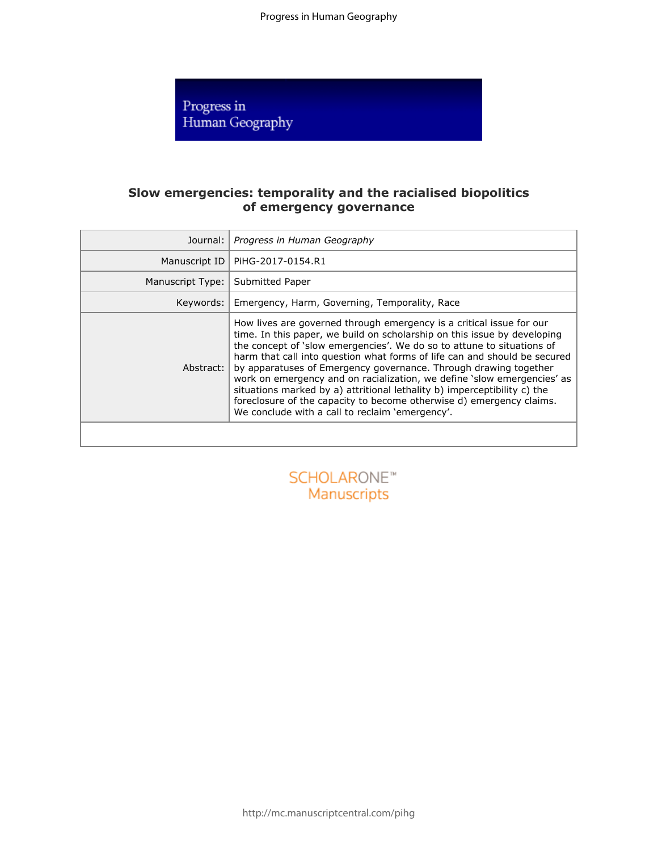Progress in Human Geography

## **Slow emergencies: temporality and the racialised biopolitics of emergency governance**

| Journal: I                             | Progress in Human Geography                                                                                                                                                                                                                                                                                                                                                                                                                                                                                                                                                                                                                                   |  |  |  |
|----------------------------------------|---------------------------------------------------------------------------------------------------------------------------------------------------------------------------------------------------------------------------------------------------------------------------------------------------------------------------------------------------------------------------------------------------------------------------------------------------------------------------------------------------------------------------------------------------------------------------------------------------------------------------------------------------------------|--|--|--|
| Manuscript ID                          | PiHG-2017-0154.R1                                                                                                                                                                                                                                                                                                                                                                                                                                                                                                                                                                                                                                             |  |  |  |
| Manuscript Type:                       | Submitted Paper                                                                                                                                                                                                                                                                                                                                                                                                                                                                                                                                                                                                                                               |  |  |  |
| Keywords:                              | Emergency, Harm, Governing, Temporality, Race                                                                                                                                                                                                                                                                                                                                                                                                                                                                                                                                                                                                                 |  |  |  |
| Abstract:                              | How lives are governed through emergency is a critical issue for our<br>time. In this paper, we build on scholarship on this issue by developing<br>the concept of 'slow emergencies'. We do so to attune to situations of<br>harm that call into question what forms of life can and should be secured<br>by apparatuses of Emergency governance. Through drawing together<br>work on emergency and on racialization, we define 'slow emergencies' as<br>situations marked by a) attritional lethality b) imperceptibility c) the<br>foreclosure of the capacity to become otherwise d) emergency claims.<br>We conclude with a call to reclaim 'emergency'. |  |  |  |
|                                        |                                                                                                                                                                                                                                                                                                                                                                                                                                                                                                                                                                                                                                                               |  |  |  |
| SCHOLARONE <sup>*</sup><br>Manuscripts |                                                                                                                                                                                                                                                                                                                                                                                                                                                                                                                                                                                                                                                               |  |  |  |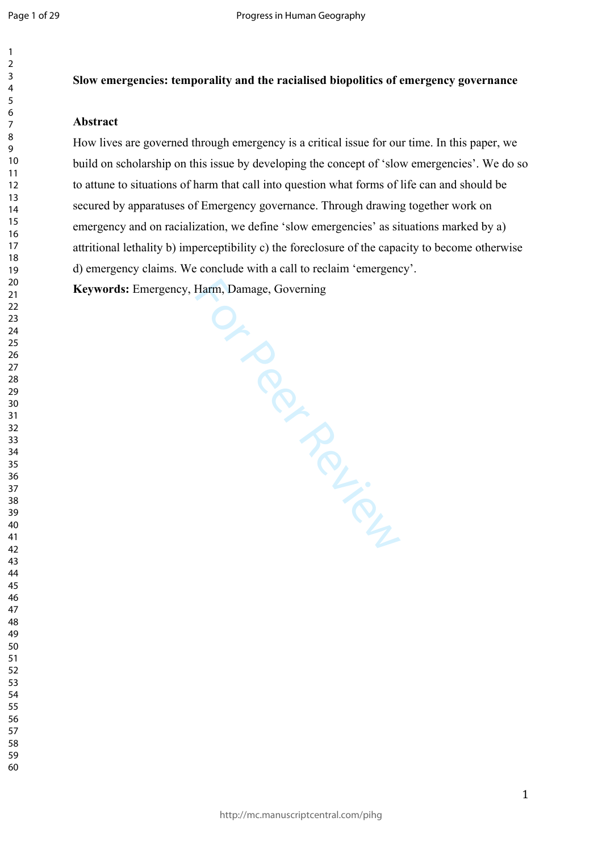$\mathbf{1}$  $\overline{2}$  $\overline{3}$  $\overline{4}$  $\overline{7}$ 

#### **Slow emergencies: temporality and the racialised biopolitics of emergency governance**

#### **Abstract**

How lives are governed through emergency is a critical issue for our time. In this paper, we build on scholarship on this issue by developing the concept of 'slow emergencies'. We do so to attune to situations of harm that call into question what forms of life can and should be secured by apparatuses of Emergency governance. Through drawing together work on emergency and on racialization, we define 'slow emergencies' as situations marked by a) attritional lethality b) imperceptibility c) the foreclosure of the capacity to become otherwise d) emergency claims. We conclude with a call to reclaim 'emergency'.

**PRANCES Keywords:** Emergency, Harm, Damage, Governing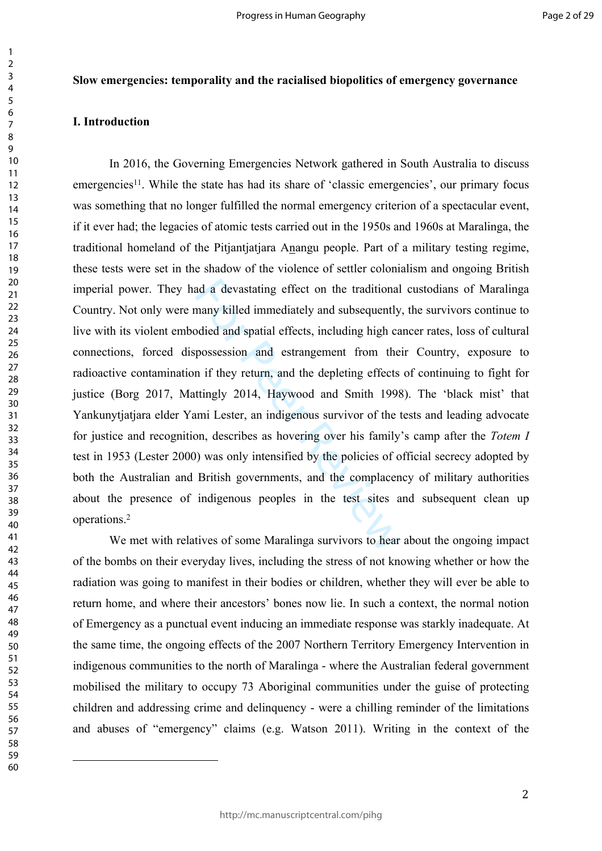#### **Slow emergencies: temporality and the racialised biopolitics of emergency governance**

### **I. Introduction**

ad a devastating effect on the traditional<br>many killed immediately and subsequently<br>odied and spatial effects, including high ca<br>possession and estrangement from the<br>n if they return, and the depleting effects<br>ttingly 2014 In 2016, the Governing Emergencies Network gathered in South Australia to discuss emergencies<sup>11</sup>. While the state has had its share of 'classic emergencies', our primary focus was something that no longer fulfilled the normal emergency criterion of a spectacular event, if it ever had; the legacies of atomic tests carried out in the 1950s and 1960s at Maralinga, the traditional homeland of the Pitjantjatjara Anangu people. Part of a military testing regime, these tests were set in the shadow of the violence of settler colonialism and ongoing British imperial power. They had a devastating effect on the traditional custodians of Maralinga Country. Not only were many killed immediately and subsequently, the survivors continue to live with its violent embodied and spatial effects, including high cancer rates, loss of cultural connections, forced dispossession and estrangement from their Country, exposure to radioactive contamination if they return, and the depleting effects of continuing to fight for justice (Borg 2017, Mattingly 2014, Haywood and Smith 1998). The 'black mist' that Yankunytjatjara elder Yami Lester, an indigenous survivor of the tests and leading advocate for justice and recognition, describes as hovering over his family's camp after the *Totem I* test in 1953 (Lester 2000) was only intensified by the policies of official secrecy adopted by both the Australian and British governments, and the complacency of military authorities about the presence of indigenous peoples in the test sites and subsequent clean up operations.<sup>2</sup>

We met with relatives of some Maralinga survivors to hear about the ongoing impact of the bombs on their everyday lives, including the stress of not knowing whether or how the radiation was going to manifest in their bodies or children, whether they will ever be able to return home, and where their ancestors' bones now lie. In such a context, the normal notion of Emergency as a punctual event inducing an immediate response was starkly inadequate. At the same time, the ongoing effects of the 2007 Northern Territory Emergency Intervention in indigenous communities to the north of Maralinga - where the Australian federal government mobilised the military to occupy 73 Aboriginal communities under the guise of protecting children and addressing crime and delinquency - were a chilling reminder of the limitations and abuses of "emergency" claims (e.g. Watson 2011). Writing in the context of the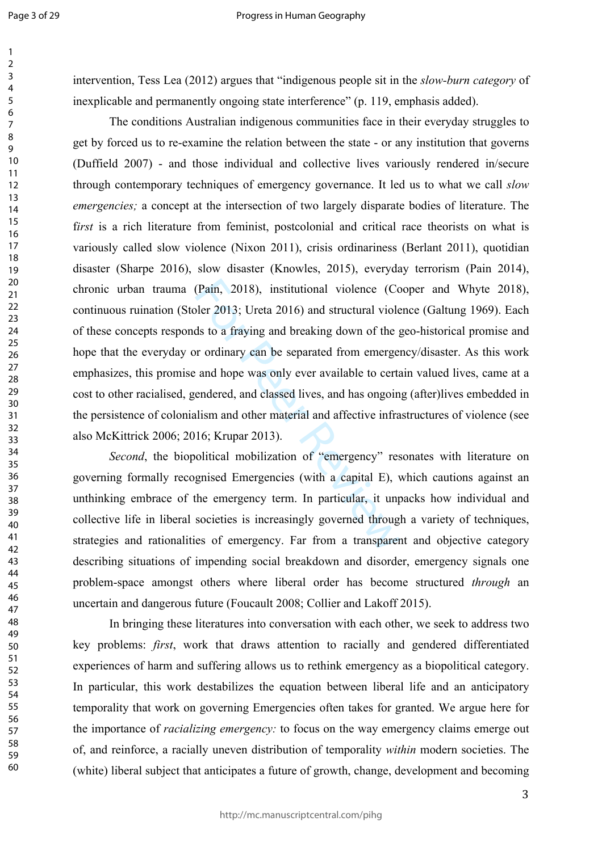$\mathbf{1}$  $\overline{2}$  $\overline{3}$  $\overline{4}$ 5 6  $\overline{7}$ 8 9

intervention, Tess Lea (2012) argues that "indigenous people sit in the *slow-burn category* of inexplicable and permanently ongoing state interference" (p. 119, emphasis added).

(Pain, 2018), institutional violence (Cc<br>
oler 2013; Ureta 2016) and structural violence (Cc<br>
slds to a fraying and breaking down of the g<br>
or ordinary can be separated from emerger<br>
and hope was only ever available to cer The conditions Australian indigenous communities face in their everyday struggles to get by forced us to re-examine the relation between the state - or any institution that governs (Duffield 2007) - and those individual and collective lives variously rendered in/secure through contemporary techniques of emergency governance. It led us to what we call *slow emergencies;*<sup>a</sup> concept at the intersection of two largely disparate bodies of literature. The f*irst* is a rich literature from feminist, postcolonial and critical race theorists on what is variously called slow violence (Nixon 2011), crisis ordinariness (Berlant 2011), quotidian disaster (Sharpe 2016), slow disaster (Knowles, 2015), everyday terrorism (Pain 2014), chronic urban trauma (Pain, 2018), institutional violence (Cooper and Whyte 2018), continuous ruination (Stoler 2013; Ureta 2016) and structural violence (Galtung 1969). Each of these concepts responds to a fraying and breaking down of the geo-historical promise and hope that the everyday or ordinary can be separated from emergency/disaster. As this work emphasizes, this promise and hope was only ever available to certain valued lives, came at a cost to other racialised, gendered, and classed lives, and has ongoing (after)lives embedded in the persistence of colonialism and other material and affective infrastructures of violence (see also McKittrick 2006; 2016; Krupar 2013).

*Second*, the biopolitical mobilization of "emergency" resonates with literature on governing formally recognised Emergencies (with a capital E), which cautions against an unthinking embrace of the emergency term. In particular, it unpacks how individual and collective life in liberal societies is increasingly governed through a variety of techniques, strategies and rationalities of emergency. Far from a transparent and objective category describing situations of impending social breakdown and disorder, emergency signals one problem-space amongst others where liberal order has become structured *through* an uncertain and dangerous future (Foucault 2008; Collier and Lakoff 2015).

In bringing these literatures into conversation with each other, we seek to address two key problems: *first*, work that draws attention to racially and gendered differentiated experiences of harm and suffering allows us to rethink emergency as a biopolitical category. In particular, this work destabilizes the equation between liberal life and an anticipatory temporality that work on governing Emergencies often takes for granted. We argue here for the importance of *racializing emergency:* to focus on the way emergency claims emerge out of, and reinforce, a racially uneven distribution of temporality *within* modern societies. The (white) liberal subject that anticipates a future of growth, change, development and becoming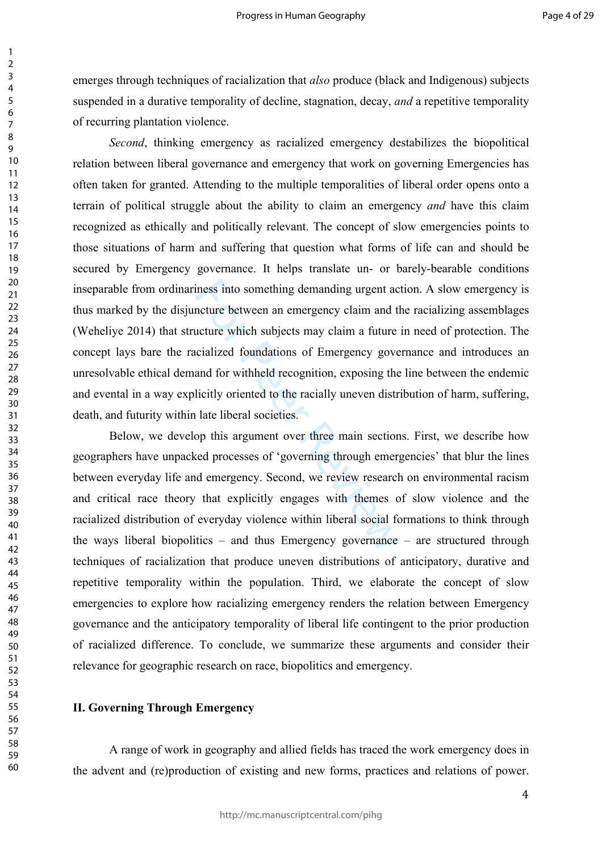emerges through techniques of racialization that *also* produce (black and Indigenous) subjects suspended in a durative temporality of decline, stagnation, decay, *and* a repetitive temporality of recurring plantation violence.

iness into something demanding urgent ac<br>noture between an emergency claim and th<br>ucture which subjects may claim a future<br>cialized foundations of Emergency gove<br>and for withheld recognition, exposing the<br>licitly oriented *Second*, thinking emergency as racialized emergency destabilizes the biopolitical relation between liberal governance and emergency that work on governing Emergencies has often taken for granted. Attending to the multiple temporalities of liberal order opens onto a terrain of political struggle about the ability to claim an emergency *and* have this claim recognized as ethically and politically relevant. The concept of slow emergencies points to those situations of harm and suffering that question what forms of life can and should be secured by Emergency governance. It helps translate un- or barely-bearable conditions inseparable from ordinariness into something demanding urgent action. A slow emergency is thus marked by the disjuncture between an emergency claim and the racializing assemblages (Weheliye 2014) that structure which subjects may claim a future in need of protection. The concept lays bare the racialized foundations of Emergency governance and introduces an unresolvable ethical demand for withheld recognition, exposing the line between the endemic and evental in a way explicitly oriented to the racially uneven distribution of harm, suffering, death, and futurity within late liberal societies.

Below, we develop this argument over three main sections. First, we describe how geographers have unpacked processes of 'governing through emergencies' that blur the lines between everyday life and emergency. Second, we review research on environmental racism and critical race theory that explicitly engages with themes of slow violence and the racialized distribution of everyday violence within liberal social formations to think through the ways liberal biopolitics – and thus Emergency governance – are structured through techniques of racialization that produce uneven distributions of anticipatory, durative and repetitive temporality within the population. Third, we elaborate the concept of slow emergencies to explore how racializing emergency renders the relation between Emergency governance and the anticipatory temporality of liberal life contingent to the prior production of racialized difference. To conclude, we summarize these arguments and consider their relevance for geographic research on race, biopolitics and emergency.

#### **II. Governing Through Emergency**

A range of work in geography and allied fields has traced the work emergency does in the advent and (re)production of existing and new forms, practices and relations of power.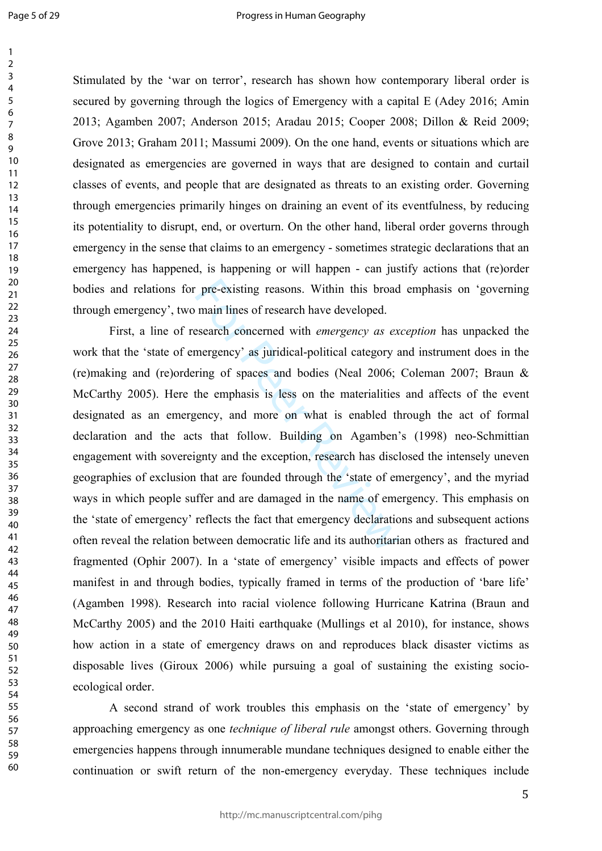60

Stimulated by the 'war on terror', research has shown how contemporary liberal order is secured by governing through the logics of Emergency with a capital E (Adey 2016; Amin 2013; Agamben 2007; Anderson 2015; Aradau 2015; Cooper 2008; Dillon & Reid 2009; Grove 2013; Graham 2011; Massumi 2009). On the one hand, events or situations which are designated as emergencies are governed in ways that are designed to contain and curtail classes of events, and people that are designated as threats to an existing order. Governing through emergencies primarily hinges on draining an event of its eventfulness, by reducing its potentiality to disrupt, end, or overturn. On the other hand, liberal order governs through emergency in the sense that claims to an emergency - sometimes strategic declarations that an emergency has happened, is happening or will happen - can justify actions that (re)order bodies and relations for pre-existing reasons. Within this broad emphasis on 'governing through emergency', two main lines of research have developed.

pre-existing reasons. Within this broad<br>main lines of research have developed.<br>seearch concerned with *emergency as ex*<br>mergency' as juridical-political category a<br>ring of spaces and bodies (Neal 2006;<br>the emphasis is less First, a line of research concerned with *emergency as exception* has unpacked the work that the 'state of emergency' as juridical-political category and instrument does in the (re)making and (re)ordering of spaces and bodies (Neal 2006; Coleman 2007; Braun & McCarthy 2005). Here the emphasis is less on the materialities and affects of the event designated as an emergency, and more on what is enabled through the act of formal declaration and the acts that follow. Building on Agamben's (1998) neo-Schmittian engagement with sovereignty and the exception, research has disclosed the intensely uneven geographies of exclusion that are founded through the 'state of emergency', and the myriad ways in which people suffer and are damaged in the name of emergency. This emphasis on the 'state of emergency' reflects the fact that emergency declarations and subsequent actions often reveal the relation between democratic life and its authoritarian others as fractured and fragmented (Ophir 2007). In a 'state of emergency' visible impacts and effects of power manifest in and through bodies, typically framed in terms of the production of 'bare life' (Agamben 1998). Research into racial violence following Hurricane Katrina (Braun and McCarthy 2005) and the 2010 Haiti earthquake (Mullings et al 2010), for instance, shows how action in a state of emergency draws on and reproduces black disaster victims as disposable lives (Giroux 2006) while pursuing a goal of sustaining the existing socioecological order.

A second strand of work troubles this emphasis on the 'state of emergency' by approaching emergency as one *technique of liberal rule* amongst others. Governing through emergencies happens through innumerable mundane techniques designed to enable either the continuation or swift return of the non-emergency everyday. These techniques include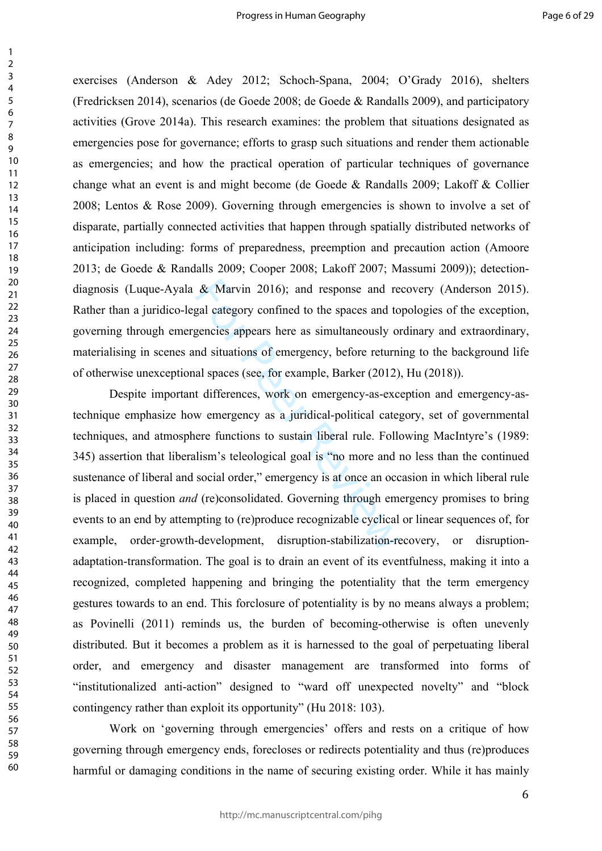exercises (Anderson & Adey 2012; Schoch-Spana, 2004; O'Grady 2016), shelters (Fredricksen 2014), scenarios (de Goede 2008; de Goede & Randalls 2009), and participatory activities (Grove 2014a). This research examines: the problem that situations designated as emergencies pose for governance; efforts to grasp such situations and render them actionable as emergencies; and how the practical operation of particular techniques of governance change what an event is and might become (de Goede & Randalls 2009; Lakoff & Collier 2008; Lentos & Rose 2009). Governing through emergencies is shown to involve a set of disparate, partially connected activities that happen through spatially distributed networks of anticipation including: forms of preparedness, preemption and precaution action (Amoore 2013; de Goede & Randalls 2009; Cooper 2008; Lakoff 2007; Massumi 2009)); detectiondiagnosis (Luque-Ayala & Marvin 2016); and response and recovery (Anderson 2015). Rather than a juridico-legal category confined to the spaces and topologies of the exception, governing through emergencies appears here as simultaneously ordinary and extraordinary, materialising in scenes and situations of emergency, before returning to the background life of otherwise unexceptional spaces (see, for example, Barker (2012), Hu (2018)).

& Marvin 2016); and response and re<br>gal category confined to the spaces and to<br>gencies appears here as simultaneously on<br>md situations of emergency, before return<br>al spaces (see, for example, Barker (2012)<br>t differences, Despite important differences, work on emergency-as-exception and emergency-astechnique emphasize how emergency as a juridical-political category, set of governmental techniques, and atmosphere functions to sustain liberal rule. Following MacIntyre's (1989: 345) assertion that liberalism's teleological goal is "no more and no less than the continued sustenance of liberal and social order," emergency is at once an occasion in which liberal rule is placed in question *and* (re)consolidated. Governing through emergency promises to bring events to an end by attempting to (re)produce recognizable cyclical or linear sequences of, for example, order-growth-development, disruption-stabilization-recovery, or disruptionadaptation-transformation. The goal is to drain an event of its eventfulness, making it into a recognized, completed happening and bringing the potentiality that the term emergency gestures towards to an end. This forclosure of potentiality is by no means always a problem; as Povinelli (2011) reminds us, the burden of becoming-otherwise is often unevenly distributed. But it becomes a problem as it is harnessed to the goal of perpetuating liberal order, and emergency and disaster management are transformed into forms of "institutionalized anti-action" designed to "ward off unexpected novelty" and "block contingency rather than exploit its opportunity" (Hu 2018: 103).

Work on 'governing through emergencies' offers and rests on a critique of how governing through emergency ends, forecloses or redirects potentiality and thus (re)produces harmful or damaging conditions in the name of securing existing order. While it has mainly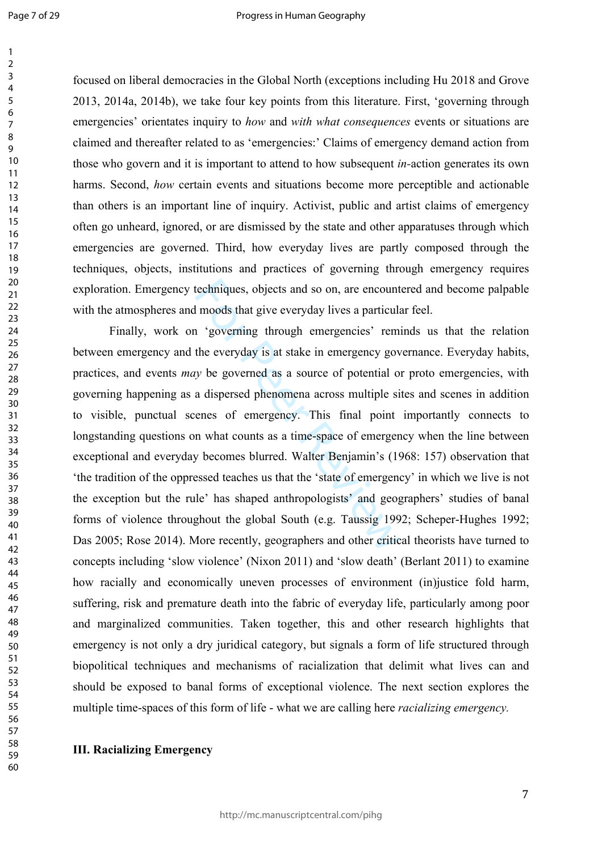60

focused on liberal democracies in the Global North (exceptions including Hu 2018 and Grove 2013, 2014a, 2014b), we take four key points from this literature. First, 'governing through emergencies' orientates inquiry to *how* and *with what consequences* events or situations are claimed and thereafter related to as 'emergencies:' Claims of emergency demand action from those who govern and it is important to attend to how subsequent *in-*action generates its own harms. Second, *how* certain events and situations become more perceptible and actionable than others is an important line of inquiry. Activist, public and artist claims of emergency often go unheard, ignored, or are dismissed by the state and other apparatuses through which emergencies are governed. Third, how everyday lives are partly composed through the techniques, objects, institutions and practices of governing through emergency requires exploration. Emergency techniques, objects and so on, are encountered and become palpable with the atmospheres and moods that give everyday lives a particular feel.

techniques, objects and so on, are encount<br>I moods that give everyday lives a particula<br>1 'governing through emergencies' rem<br>the everyday is at stake in emergency gov<br>y be governed as a source of potential o<br>a dispersed p Finally, work on 'governing through emergencies' reminds us that the relation between emergency and the everyday is at stake in emergency governance. Everyday habits, practices, and events *may* be governed as a source of potential or proto emergencies, with governing happening as a dispersed phenomena across multiple sites and scenes in addition to visible, punctual scenes of emergency. This final point importantly connects to longstanding questions on what counts as a time-space of emergency when the line between exceptional and everyday becomes blurred. Walter Benjamin's (1968: 157) observation that 'the tradition of the oppressed teaches us that the 'state of emergency' in which we live is not the exception but the rule' has shaped anthropologists' and geographers' studies of banal forms of violence throughout the global South (e.g. Taussig 1992; Scheper-Hughes 1992; Das 2005; Rose 2014). More recently, geographers and other critical theorists have turned to concepts including 'slow violence' (Nixon 2011) and 'slow death' (Berlant 2011) to examine how racially and economically uneven processes of environment (in)justice fold harm, suffering, risk and premature death into the fabric of everyday life, particularly among poor and marginalized communities. Taken together, this and other research highlights that emergency is not only a dry juridical category, but signals a form of life structured through biopolitical techniques and mechanisms of racialization that delimit what lives can and should be exposed to banal forms of exceptional violence. The next section explores the multiple time-spaces of this form of life - what we are calling here *racializing emergency.*

### **III. Racializing Emergency**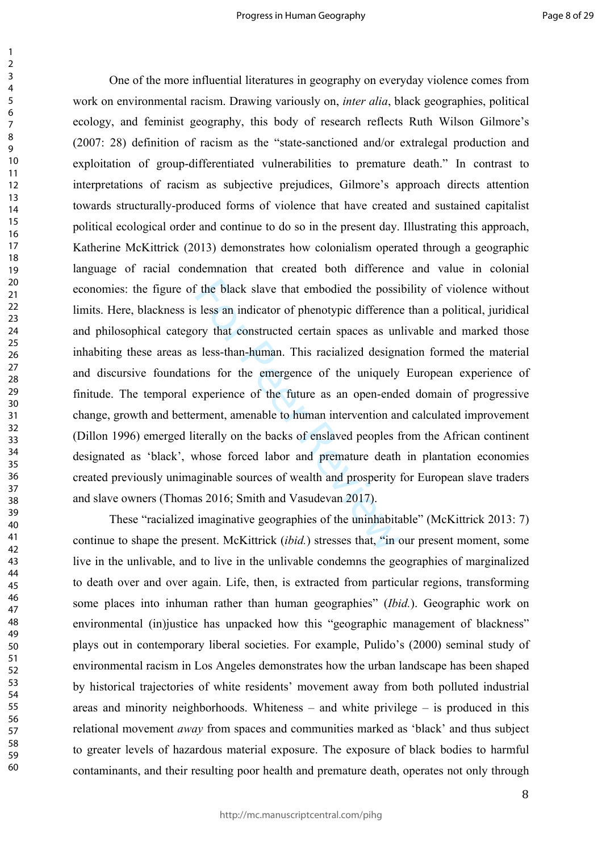Example 12 and indicator of phenotypic difference is less an indicator of phenotypic difference ory that constructed certain spaces as un is less-than-human. This racialized design ons for the emergence of the uniquely ex One of the more influential literatures in geography on everyday violence comes from work on environmental racism. Drawing variously on, *inter alia*, black geographies, political ecology, and feminist geography, this body of research reflects Ruth Wilson Gilmore's (2007: 28) definition of racism as the "state-sanctioned and/or extralegal production and exploitation of group-differentiated vulnerabilities to premature death." In contrast to interpretations of racism as subjective prejudices, Gilmore's approach directs attention towards structurally-produced forms of violence that have created and sustained capitalist political ecological order and continue to do so in the present day. Illustrating this approach, Katherine McKittrick (2013) demonstrates how colonialism operated through a geographic language of racial condemnation that created both difference and value in colonial economies: the figure of the black slave that embodied the possibility of violence without limits. Here, blackness is less an indicator of phenotypic difference than a political, juridical and philosophical category that constructed certain spaces as unlivable and marked those inhabiting these areas as less-than-human. This racialized designation formed the material and discursive foundations for the emergence of the uniquely European experience of finitude. The temporal experience of the future as an open-ended domain of progressive change, growth and betterment, amenable to human intervention and calculated improvement (Dillon 1996) emerged literally on the backs of enslaved peoples from the African continent designated as 'black', whose forced labor and premature death in plantation economies created previously unimaginable sources of wealth and prosperity for European slave traders and slave owners (Thomas 2016; Smith and Vasudevan 2017).

These "racialized imaginative geographies of the uninhabitable" (McKittrick 2013: 7) continue to shape the present. McKittrick (*ibid.*) stresses that, "in our present moment, some live in the unlivable, and to live in the unlivable condemns the geographies of marginalized to death over and over again. Life, then, is extracted from particular regions, transforming some places into inhuman rather than human geographies" (*Ibid.*). Geographic work on environmental (in)justice has unpacked how this "geographic management of blackness" plays out in contemporary liberal societies. For example, Pulido's (2000) seminal study of environmental racism in Los Angeles demonstrates how the urban landscape has been shaped by historical trajectories of white residents' movement away from both polluted industrial areas and minority neighborhoods. Whiteness – and white privilege – is produced in this relational movement *away* from spaces and communities marked as 'black' and thus subject to greater levels of hazardous material exposure. The exposure of black bodies to harmful contaminants, and their resulting poor health and premature death, operates not only through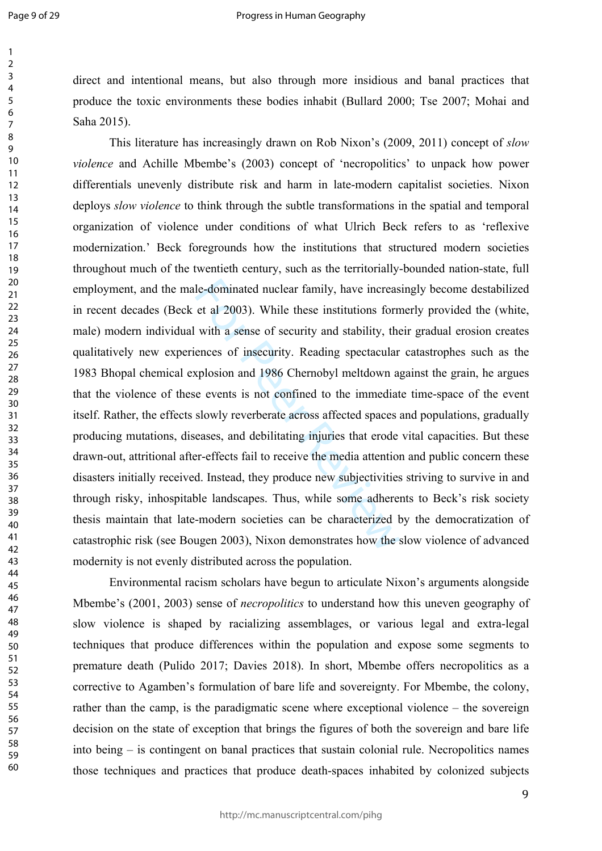$\mathbf{1}$  $\overline{2}$  $\overline{3}$  $\overline{4}$ 5 6  $\overline{7}$ 8 9

#### Progress in Human Geography

direct and intentional means, but also through more insidious and banal practices that produce the toxic environments these bodies inhabit (Bullard 2000; Tse 2007; Mohai and Saha 2015).

le-dominated nuclear family, have increas<br>et al 2003). While these institutions form<br>with a sense of security and stability, the<br>ences of insecurity. Reading spectacular<br>xplosion and 1986 Chernobyl meltdown as<br>e events is This literature has increasingly drawn on Rob Nixon's (2009, 2011) concept of *slow violence* and Achille Mbembe's (2003) concept of 'necropolitics' to unpack how power differentials unevenly distribute risk and harm in late-modern capitalist societies. Nixon deploys *slow violence* to think through the subtle transformations in the spatial and temporal organization of violence under conditions of what Ulrich Beck refers to as 'reflexive modernization.' Beck foregrounds how the institutions that structured modern societies throughout much of the twentieth century, such as the territorially-bounded nation-state, full employment, and the male-dominated nuclear family, have increasingly become destabilized in recent decades (Beck et al 2003). While these institutions formerly provided the (white, male) modern individual with a sense of security and stability, their gradual erosion creates qualitatively new experiences of insecurity. Reading spectacular catastrophes such as the 1983 Bhopal chemical explosion and 1986 Chernobyl meltdown against the grain, he argues that the violence of these events is not confined to the immediate time-space of the event itself. Rather, the effects slowly reverberate across affected spaces and populations, gradually producing mutations, diseases, and debilitating injuries that erode vital capacities. But these drawn-out, attritional after-effects fail to receive the media attention and public concern these disasters initially received. Instead, they produce new subjectivities striving to survive in and through risky, inhospitable landscapes. Thus, while some adherents to Beck's risk society thesis maintain that late-modern societies can be characterized by the democratization of catastrophic risk (see Bougen 2003), Nixon demonstrates how the slow violence of advanced modernity is not evenly distributed across the population.

Environmental racism scholars have begun to articulate Nixon's arguments alongside Mbembe's (2001, 2003) sense of *necropolitics* to understand how this uneven geography of slow violence is shaped by racializing assemblages, or various legal and extra-legal techniques that produce differences within the population and expose some segments to premature death (Pulido 2017; Davies 2018). In short, Mbembe offers necropolitics as a corrective to Agamben's formulation of bare life and sovereignty. For Mbembe, the colony, rather than the camp, is the paradigmatic scene where exceptional violence – the sovereign decision on the state of exception that brings the figures of both the sovereign and bare life into being – is contingent on banal practices that sustain colonial rule. Necropolitics names those techniques and practices that produce death-spaces inhabited by colonized subjects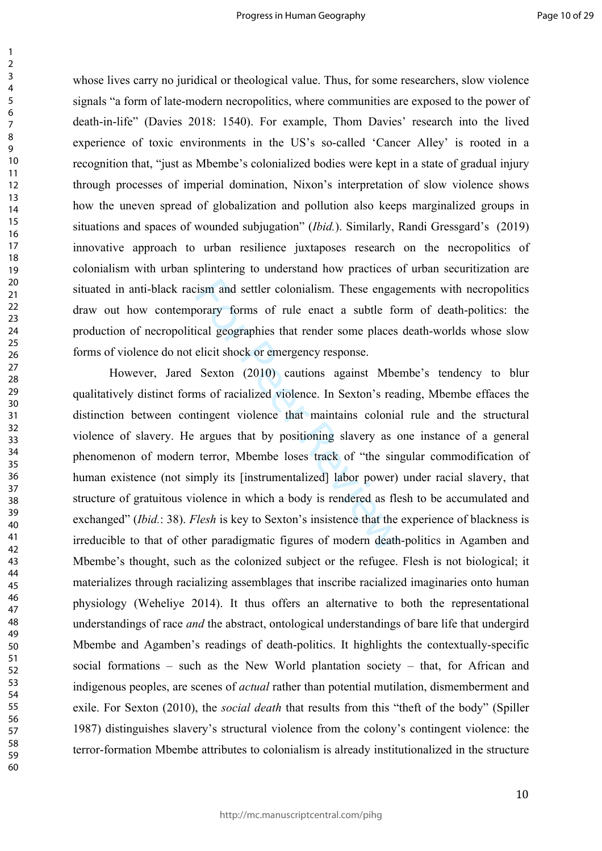whose lives carry no juridical or theological value. Thus, for some researchers, slow violence signals "a form of late-modern necropolitics, where communities are exposed to the power of death-in-life" (Davies 2018: 1540). For example, Thom Davies' research into the lived experience of toxic environments in the US's so-called 'Cancer Alley' is rooted in a recognition that, "just as Mbembe's colonialized bodies were kept in a state of gradual injury through processes of imperial domination, Nixon's interpretation of slow violence shows how the uneven spread of globalization and pollution also keeps marginalized groups in situations and spaces of wounded subjugation" (*Ibid.*). Similarly, Randi Gressgard's (2019) innovative approach to urban resilience juxtaposes research on the necropolitics of colonialism with urban splintering to understand how practices of urban securitization are situated in anti-black racism and settler colonialism. These engagements with necropolitics draw out how contemporary forms of rule enact a subtle form of death-politics: the production of necropolitical geographies that render some places death-worlds whose slow forms of violence do not elicit shock or emergency response.

ism and settler colonialism. These engage<br>oorary forms of rule enact a subtle foical geographies that render some places<br>elicit shock or emergency response.<br>Sexton (2010) cautions against Mbel<br>ms of racialized violence. In However, Jared Sexton (2010) cautions against Mbembe's tendency to blur qualitatively distinct forms of racialized violence. In Sexton's reading, Mbembe effaces the distinction between contingent violence that maintains colonial rule and the structural violence of slavery. He argues that by positioning slavery as one instance of a general phenomenon of modern terror, Mbembe loses track of "the singular commodification of human existence (not simply its [instrumentalized] labor power) under racial slavery, that structure of gratuitous violence in which a body is rendered as flesh to be accumulated and exchanged" (*Ibid.*: 38). *Flesh* is key to Sexton's insistence that the experience of blackness is irreducible to that of other paradigmatic figures of modern death-politics in Agamben and Mbembe's thought, such as the colonized subject or the refugee. Flesh is not biological; it materializes through racializing assemblages that inscribe racialized imaginaries onto human physiology (Weheliye 2014). It thus offers an alternative to both the representational understandings of race *and* the abstract, ontological understandings of bare life that undergird Mbembe and Agamben's readings of death-politics. It highlights the contextually-specific social formations – such as the New World plantation society – that, for African and indigenous peoples, are scenes of *actual* rather than potential mutilation, dismemberment and exile. For Sexton (2010), the *social death* that results from this "theft of the body" (Spiller 1987) distinguishes slavery's structural violence from the colony's contingent violence: the terror-formation Mbembe attributes to colonialism is already institutionalized in the structure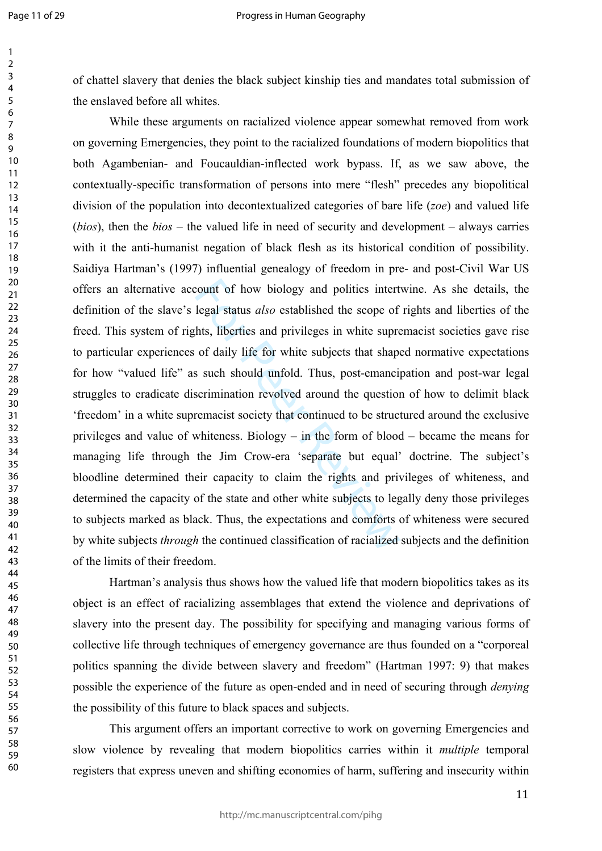of chattel slavery that denies the black subject kinship ties and mandates total submission of the enslaved before all whites.

count of how biology and politics intert<br>legal status *also* established the scope of<br>hts, liberties and privileges in white supre<br>of daily life for white subjects that shape<br>s such should unfold. Thus, post-emancin<br>scrimi While these arguments on racialized violence appear somewhat removed from work on governing Emergencies, they point to the racialized foundations of modern biopolitics that both Agambenian- and Foucauldian-inflected work bypass. If, as we saw above, the contextually-specific transformation of persons into mere "flesh" precedes any biopolitical division of the population into decontextualized categories of bare life (*zoe*) and valued life (*bios*), then the *bios* – the valued life in need of security and development – always carries with it the anti-humanist negation of black flesh as its historical condition of possibility. Saidiya Hartman's (1997) influential genealogy of freedom in pre- and post-Civil War US offers an alternative account of how biology and politics intertwine. As she details, the definition of the slave's legal status *also* established the scope of rights and liberties of the freed. This system of rights, liberties and privileges in white supremacist societies gave rise to particular experiences of daily life for white subjects that shaped normative expectations for how "valued life" as such should unfold. Thus, post-emancipation and post-war legal struggles to eradicate discrimination revolved around the question of how to delimit black 'freedom' in a white supremacist society that continued to be structured around the exclusive privileges and value of whiteness. Biology – in the form of blood – became the means for managing life through the Jim Crow-era 'separate but equal' doctrine. The subject's bloodline determined their capacity to claim the rights and privileges of whiteness, and determined the capacity of the state and other white subjects to legally deny those privileges to subjects marked as black. Thus, the expectations and comforts of whiteness were secured by white subjects *through* the continued classification of racialized subjects and the definition of the limits of their freedom.

Hartman's analysis thus shows how the valued life that modern biopolitics takes as its object is an effect of racializing assemblages that extend the violence and deprivations of slavery into the present day. The possibility for specifying and managing various forms of collective life through techniques of emergency governance are thus founded on a "corporeal politics spanning the divide between slavery and freedom" (Hartman 1997: 9) that makes possible the experience of the future as open-ended and in need of securing through *denying* the possibility of this future to black spaces and subjects.

This argument offers an important corrective to work on governing Emergencies and slow violence by revealing that modern biopolitics carries within it *multiple* temporal registers that express uneven and shifting economies of harm, suffering and insecurity within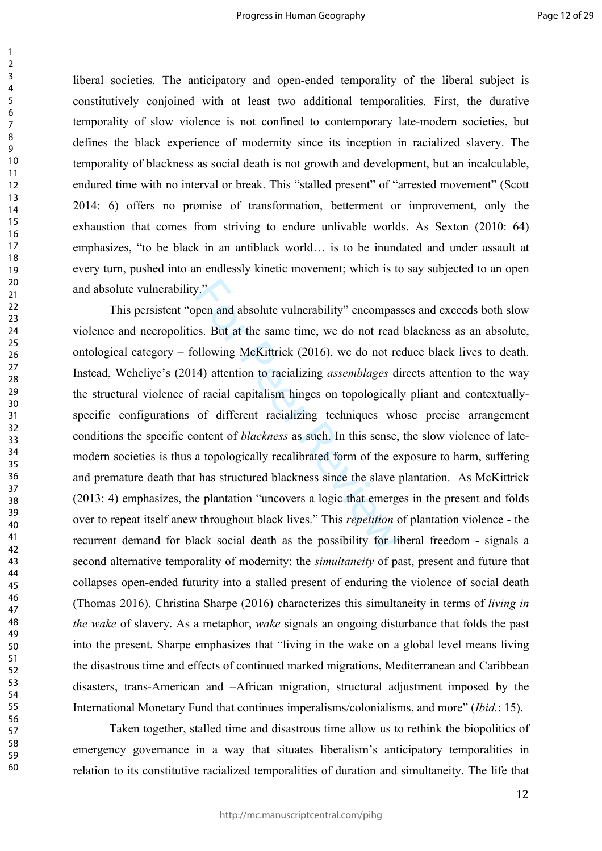liberal societies. The anticipatory and open-ended temporality of the liberal subject is constitutively conjoined with at least two additional temporalities. First, the durative temporality of slow violence is not confined to contemporary late-modern societies, but defines the black experience of modernity since its inception in racialized slavery. The temporality of blackness as social death is not growth and development, but an incalculable, endured time with no interval or break. This "stalled present" of "arrested movement" (Scott 2014: 6) offers no promise of transformation, betterment or improvement, only the exhaustion that comes from striving to endure unlivable worlds. As Sexton (2010: 64) emphasizes, "to be black in an antiblack world… is to be inundated and under assault at every turn, pushed into an endlessly kinetic movement; which is to say subjected to an open and absolute vulnerability."

y."<br>
pen and absolute vulnerability" encompas<br>
cs. But at the same time, we do not read<br>
bllowing McKittrick (2016), we do not re<br>
4) attention to racializing *assemblages* dif<br>
f racial capitalism hinges on topologicall!<br> This persistent "open and absolute vulnerability" encompasses and exceeds both slow violence and necropolitics. But at the same time, we do not read blackness as an absolute, ontological category – following McKittrick (2016), we do not reduce black lives to death. Instead, Weheliye's (2014) attention to racializing *assemblages* directs attention to the way the structural violence of racial capitalism hinges on topologically pliant and contextuallyspecific configurations of different racializing techniques whose precise arrangement conditions the specific content of *blackness* as such. In this sense, the slow violence of latemodern societies is thus a topologically recalibrated form of the exposure to harm, suffering and premature death that has structured blackness since the slave plantation. As McKittrick (2013: 4) emphasizes, the plantation "uncovers a logic that emerges in the present and folds over to repeat itself anew throughout black lives." This *repetition* of plantation violence - the recurrent demand for black social death as the possibility for liberal freedom - signals a second alternative temporality of modernity: the *simultaneity* of past, present and future that collapses open-ended futurity into a stalled present of enduring the violence of social death (Thomas 2016). Christina Sharpe (2016) characterizes this simultaneity in terms of *living in the wake* of slavery. As a metaphor, *wake* signals an ongoing disturbance that folds the past into the present. Sharpe emphasizes that "living in the wake on a global level means living the disastrous time and effects of continued marked migrations, Mediterranean and Caribbean disasters, trans-American and –African migration, structural adjustment imposed by the International Monetary Fund that continues imperalisms/colonialisms, and more" (*Ibid.*: 15).

Taken together, stalled time and disastrous time allow us to rethink the biopolitics of emergency governance in a way that situates liberalism's anticipatory temporalities in relation to its constitutive racialized temporalities of duration and simultaneity. The life that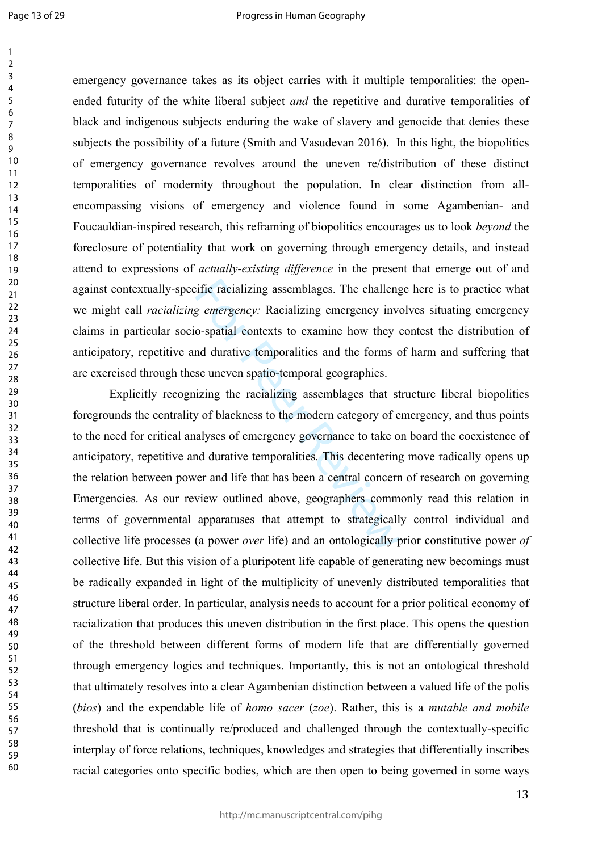emergency governance takes as its object carries with it multiple temporalities: the openended futurity of the white liberal subject *and* the repetitive and durative temporalities of black and indigenous subjects enduring the wake of slavery and genocide that denies these subjects the possibility of a future (Smith and Vasudevan 2016). In this light, the biopolitics of emergency governance revolves around the uneven re/distribution of these distinct temporalities of modernity throughout the population. In clear distinction from allencompassing visions of emergency and violence found in some Agambenian- and Foucauldian-inspired research, this reframing of biopolitics encourages us to look *beyond* the foreclosure of potentiality that work on governing through emergency details, and instead attend to expressions of *actually-existing difference* in the present that emerge out of and against contextually-specific racializing assemblages. The challenge here is to practice what we might call *racializing emergency:* Racializing emergency involves situating emergency claims in particular socio-spatial contexts to examine how they contest the distribution of anticipatory, repetitive and durative temporalities and the forms of harm and suffering that are exercised through these uneven spatio-temporal geographies.

exercise if it considers. The challeng<br>*e emergency*: Racializing emergency invertigation of examine how they<br>one durative temporalities and the forms c<br>se uneven spatio-temporal geographies.<br>izing the racializing assembla Explicitly recognizing the racializing assemblages that structure liberal biopolitics foregrounds the centrality of blackness to the modern category of emergency, and thus points to the need for critical analyses of emergency governance to take on board the coexistence of anticipatory, repetitive and durative temporalities. This decentering move radically opens up the relation between power and life that has been a central concern of research on governing Emergencies. As our review outlined above, geographers commonly read this relation in terms of governmental apparatuses that attempt to strategically control individual and collective life processes (a power *over* life) and an ontologically prior constitutive power *of* collective life. But this vision of a pluripotent life capable of generating new becomings must be radically expanded in light of the multiplicity of unevenly distributed temporalities that structure liberal order. In particular, analysis needs to account for a prior political economy of racialization that produces this uneven distribution in the first place. This opens the question of the threshold between different forms of modern life that are differentially governed through emergency logics and techniques. Importantly, this is not an ontological threshold that ultimately resolves into a clear Agambenian distinction between a valued life of the polis (*bios*) and the expendable life of *homo sacer* (*zoe*). Rather, this is a *mutable and mobile* threshold that is continually re/produced and challenged through the contextually-specific interplay of force relations, techniques, knowledges and strategies that differentially inscribes racial categories onto specific bodies, which are then open to being governed in some ways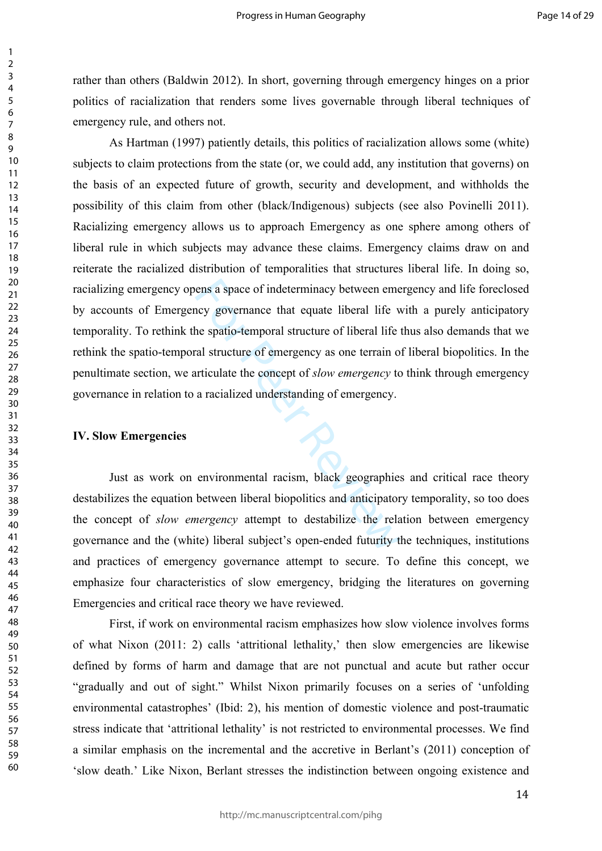rather than others (Baldwin 2012). In short, governing through emergency hinges on a prior politics of racialization that renders some lives governable through liberal techniques of emergency rule, and others not.

ens a space of indeterminacy between emetry<br>governance that equate liberal life v<br>he spatio-temporal structure of liberal life<br>al structure of emergency as one terrain o<br>triculate the concept of *slow emergency* to<br>a racia As Hartman (1997) patiently details, this politics of racialization allows some (white) subjects to claim protections from the state (or, we could add, any institution that governs) on the basis of an expected future of growth, security and development, and withholds the possibility of this claim from other (black/Indigenous) subjects (see also Povinelli 2011). Racializing emergency allows us to approach Emergency as one sphere among others of liberal rule in which subjects may advance these claims. Emergency claims draw on and reiterate the racialized distribution of temporalities that structures liberal life. In doing so, racializing emergency opens a space of indeterminacy between emergency and life foreclosed by accounts of Emergency governance that equate liberal life with a purely anticipatory temporality. To rethink the spatio-temporal structure of liberal life thus also demands that we rethink the spatio-temporal structure of emergency as one terrain of liberal biopolitics. In the penultimate section, we articulate the concept of *slow emergency* to think through emergency governance in relation to a racialized understanding of emergency.

#### **IV. Slow Emergencies**

Just as work on environmental racism, black geographies and critical race theory destabilizes the equation between liberal biopolitics and anticipatory temporality, so too does the concept of *slow emergency* attempt to destabilize the relation between emergency governance and the (white) liberal subject's open-ended futurity the techniques, institutions and practices of emergency governance attempt to secure. To define this concept, we emphasize four characteristics of slow emergency, bridging the literatures on governing Emergencies and critical race theory we have reviewed.

First, if work on environmental racism emphasizes how slow violence involves forms of what Nixon (2011: 2) calls 'attritional lethality,' then slow emergencies are likewise defined by forms of harm and damage that are not punctual and acute but rather occur "gradually and out of sight." Whilst Nixon primarily focuses on a series of 'unfolding environmental catastrophes' (Ibid: 2), his mention of domestic violence and post-traumatic stress indicate that 'attritional lethality' is not restricted to environmental processes. We find a similar emphasis on the incremental and the accretive in Berlant's (2011) conception of 'slow death.' Like Nixon, Berlant stresses the indistinction between ongoing existence and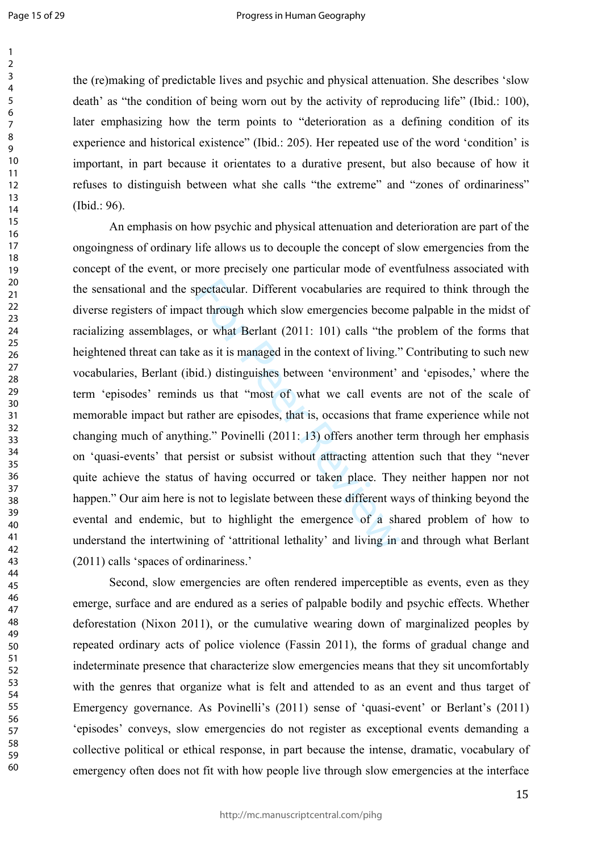59 60

the (re)making of predictable lives and psychic and physical attenuation. She describes 'slow death' as "the condition of being worn out by the activity of reproducing life" (Ibid.: 100), later emphasizing how the term points to "deterioration as a defining condition of its experience and historical existence" (Ibid.: 205). Her repeated use of the word 'condition' is important, in part because it orientates to a durative present, but also because of how it refuses to distinguish between what she calls "the extreme" and "zones of ordinariness" (Ibid.: 96).

pectacular. Different vocabularies are req<br>et through which slow emergencies becom<br>or what Berlant (2011: 101) calls "the p<br>e as it is managed in the context of living."<br>id.) distinguishes between 'environment'<br>s us that " An emphasis on how psychic and physical attenuation and deterioration are part of the ongoingness of ordinary life allows us to decouple the concept of slow emergencies from the concept of the event, or more precisely one particular mode of eventfulness associated with the sensational and the spectacular. Different vocabularies are required to think through the diverse registers of impact through which slow emergencies become palpable in the midst of racializing assemblages, or what Berlant (2011: 101) calls "the problem of the forms that heightened threat can take as it is managed in the context of living." Contributing to such new vocabularies, Berlant (ibid.) distinguishes between 'environment' and 'episodes,' where the term 'episodes' reminds us that "most of what we call events are not of the scale of memorable impact but rather are episodes, that is, occasions that frame experience while not changing much of anything." Povinelli (2011: 13) offers another term through her emphasis on 'quasi-events' that persist or subsist without attracting attention such that they "never quite achieve the status of having occurred or taken place. They neither happen nor not happen." Our aim here is not to legislate between these different ways of thinking beyond the evental and endemic, but to highlight the emergence of a shared problem of how to understand the intertwining of 'attritional lethality' and living in and through what Berlant (2011) calls 'spaces of ordinariness.'

Second, slow emergencies are often rendered imperceptible as events, even as they emerge, surface and are endured as a series of palpable bodily and psychic effects. Whether deforestation (Nixon 2011), or the cumulative wearing down of marginalized peoples by repeated ordinary acts of police violence (Fassin 2011), the forms of gradual change and indeterminate presence that characterize slow emergencies means that they sit uncomfortably with the genres that organize what is felt and attended to as an event and thus target of Emergency governance. As Povinelli's (2011) sense of 'quasi-event' or Berlant's (2011) 'episodes' conveys, slow emergencies do not register as exceptional events demanding a collective political or ethical response, in part because the intense, dramatic, vocabulary of emergency often does not fit with how people live through slow emergencies at the interface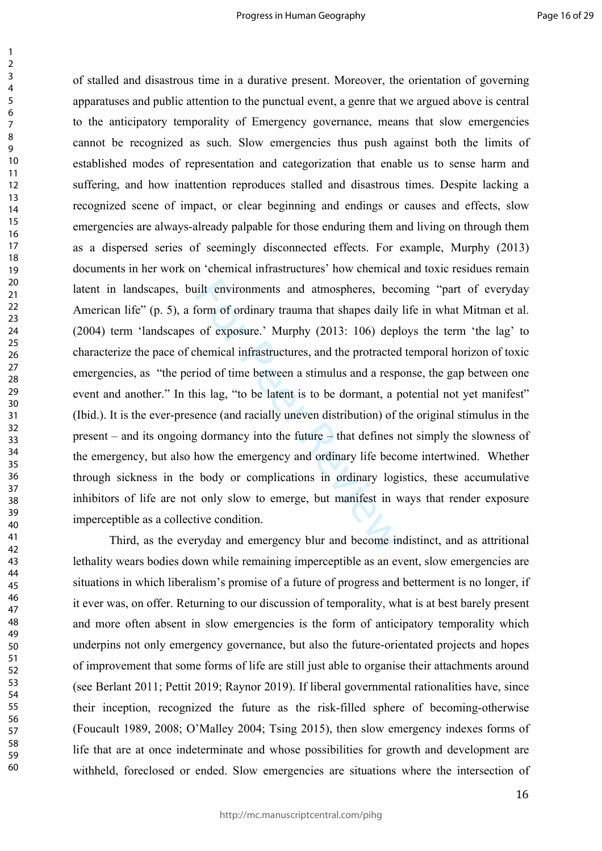ilt environments and atmospheres, becomments and atmospheres, becomments of exposure.' Murphy (2013: 106) depl<br>thermical infrastructures, and the protracted<br>iod of time between a stimulus and a responsing lag, "to be laten of stalled and disastrous time in a durative present. Moreover, the orientation of governing apparatuses and public attention to the punctual event, a genre that we argued above is central to the anticipatory temporality of Emergency governance, means that slow emergencies cannot be recognized as such. Slow emergencies thus push against both the limits of established modes of representation and categorization that enable us to sense harm and suffering, and how inattention reproduces stalled and disastrous times. Despite lacking a recognized scene of impact, or clear beginning and endings or causes and effects, slow emergencies are always-already palpable for those enduring them and living on through them as a dispersed series of seemingly disconnected effects. For example, Murphy (2013) documents in her work on 'chemical infrastructures' how chemical and toxic residues remain latent in landscapes, built environments and atmospheres, becoming "part of everyday American life" (p. 5), a form of ordinary trauma that shapes daily life in what Mitman et al. (2004) term 'landscapes of exposure.' Murphy (2013: 106) deploys the term 'the lag' to characterize the pace of chemical infrastructures, and the protracted temporal horizon of toxic emergencies, as "the period of time between a stimulus and a response, the gap between one event and another." In this lag, "to be latent is to be dormant, a potential not yet manifest" (Ibid.). It is the ever-presence (and racially uneven distribution) of the original stimulus in the present – and its ongoing dormancy into the future – that defines not simply the slowness of the emergency, but also how the emergency and ordinary life become intertwined. Whether through sickness in the body or complications in ordinary logistics, these accumulative inhibitors of life are not only slow to emerge, but manifest in ways that render exposure imperceptible as a collective condition.

Third, as the everyday and emergency blur and become indistinct, and as attritional lethality wears bodies down while remaining imperceptible as an event, slow emergencies are situations in which liberalism's promise of a future of progress and betterment is no longer, if it ever was, on offer. Returning to our discussion of temporality, what is at best barely present and more often absent in slow emergencies is the form of anticipatory temporality which underpins not only emergency governance, but also the future-orientated projects and hopes of improvement that some forms of life are still just able to organise their attachments around (see Berlant 2011; Pettit 2019; Raynor 2019). If liberal governmental rationalities have, since their inception, recognized the future as the risk-filled sphere of becoming-otherwise (Foucault 1989, 2008; O'Malley 2004; Tsing 2015), then slow emergency indexes forms of life that are at once indeterminate and whose possibilities for growth and development are withheld, foreclosed or ended. Slow emergencies are situations where the intersection of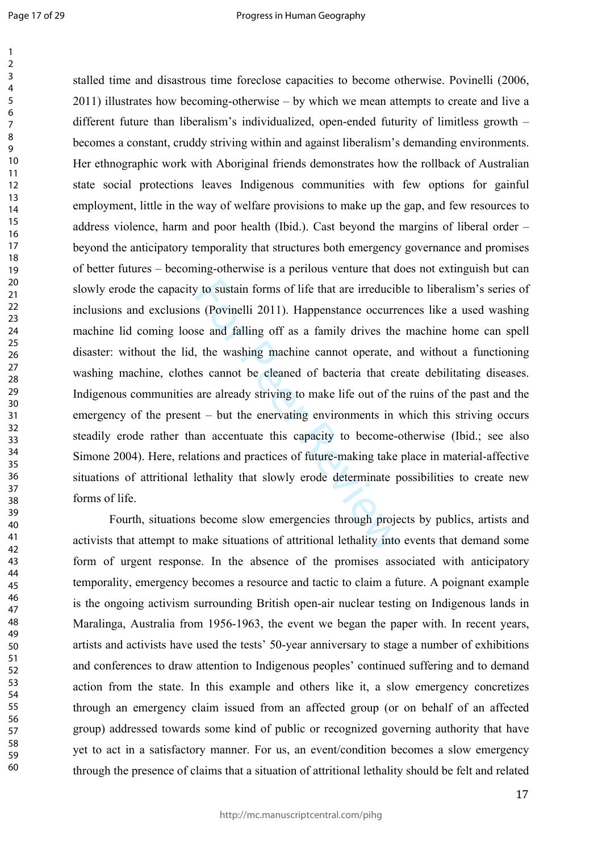v to sustain forms of life that are irreducib<br>s (Povinelli 2011). Happenstance occurre<br>se and falling off as a family drives the<br>, the washing machine cannot operate, a<br>es cannot be cleaned of bacteria that cr<br>are already stalled time and disastrous time foreclose capacities to become otherwise. Povinelli (2006, 2011) illustrates how becoming-otherwise – by which we mean attempts to create and live a different future than liberalism's individualized, open-ended futurity of limitless growth – becomes a constant, cruddy striving within and against liberalism's demanding environments. Her ethnographic work with Aboriginal friends demonstrates how the rollback of Australian state social protections leaves Indigenous communities with few options for gainful employment, little in the way of welfare provisions to make up the gap, and few resources to address violence, harm and poor health (Ibid.). Cast beyond the margins of liberal order – beyond the anticipatory temporality that structures both emergency governance and promises of better futures – becoming-otherwise is a perilous venture that does not extinguish but can slowly erode the capacity to sustain forms of life that are irreducible to liberalism's series of inclusions and exclusions (Povinelli 2011). Happenstance occurrences like a used washing machine lid coming loose and falling off as a family drives the machine home can spell disaster: without the lid, the washing machine cannot operate, and without a functioning washing machine, clothes cannot be cleaned of bacteria that create debilitating diseases. Indigenous communities are already striving to make life out of the ruins of the past and the emergency of the present – but the enervating environments in which this striving occurs steadily erode rather than accentuate this capacity to become-otherwise (Ibid.; see also Simone 2004). Here, relations and practices of future-making take place in material-affective situations of attritional lethality that slowly erode determinate possibilities to create new forms of life.

Fourth, situations become slow emergencies through projects by publics, artists and activists that attempt to make situations of attritional lethality into events that demand some form of urgent response. In the absence of the promises associated with anticipatory temporality, emergency becomes a resource and tactic to claim a future. A poignant example is the ongoing activism surrounding British open-air nuclear testing on Indigenous lands in Maralinga, Australia from 1956-1963, the event we began the paper with. In recent years, artists and activists have used the tests' 50-year anniversary to stage a number of exhibitions and conferences to draw attention to Indigenous peoples' continued suffering and to demand action from the state. In this example and others like it, a slow emergency concretizes through an emergency claim issued from an affected group (or on behalf of an affected group) addressed towards some kind of public or recognized governing authority that have yet to act in a satisfactory manner. For us, an event/condition becomes a slow emergency through the presence of claims that a situation of attritional lethality should be felt and related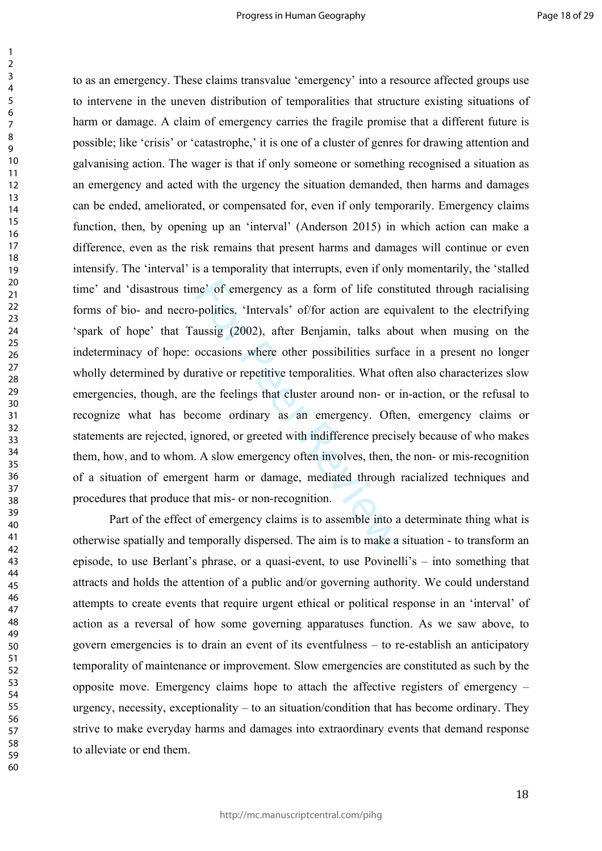ne' of emergency as a form of life conse-<br>politics. 'Intervals' of/for action are equ<br>aussig (2002), after Benjamin, talks abe<br>occasions where other possibilities surfact<br>rative or repetitive temporalities. What oft<br>the fe to as an emergency. These claims transvalue 'emergency' into a resource affected groups use to intervene in the uneven distribution of temporalities that structure existing situations of harm or damage. A claim of emergency carries the fragile promise that a different future is possible; like 'crisis' or 'catastrophe,' it is one of a cluster of genres for drawing attention and galvanising action. The wager is that if only someone or something recognised a situation as an emergency and acted with the urgency the situation demanded, then harms and damages can be ended, ameliorated, or compensated for, even if only temporarily. Emergency claims function, then, by opening up an 'interval' (Anderson 2015) in which action can make a difference, even as the risk remains that present harms and damages will continue or even intensify. The 'interval' is a temporality that interrupts, even if only momentarily, the 'stalled time' and 'disastrous time' of emergency as a form of life constituted through racialising forms of bio- and necro-politics. 'Intervals' of/for action are equivalent to the electrifying 'spark of hope' that Taussig (2002), after Benjamin, talks about when musing on the indeterminacy of hope: occasions where other possibilities surface in a present no longer wholly determined by durative or repetitive temporalities. What often also characterizes slow emergencies, though, are the feelings that cluster around non- or in-action, or the refusal to recognize what has become ordinary as an emergency. Often, emergency claims or statements are rejected, ignored, or greeted with indifference precisely because of who makes them, how, and to whom. A slow emergency often involves, then, the non- or mis-recognition of a situation of emergent harm or damage, mediated through racialized techniques and procedures that produce that mis- or non-recognition.

Part of the effect of emergency claims is to assemble into a determinate thing what is otherwise spatially and temporally dispersed. The aim is to make a situation - to transform an episode, to use Berlant's phrase, or a quasi-event, to use Povinelli's – into something that attracts and holds the attention of a public and/or governing authority. We could understand attempts to create events that require urgent ethical or political response in an 'interval' of action as a reversal of how some governing apparatuses function. As we saw above, to govern emergencies is to drain an event of its eventfulness – to re-establish an anticipatory temporality of maintenance or improvement. Slow emergencies are constituted as such by the opposite move. Emergency claims hope to attach the affective registers of emergency – urgency, necessity, exceptionality  $-$  to an situation/condition that has become ordinary. They strive to make everyday harms and damages into extraordinary events that demand response to alleviate or end them.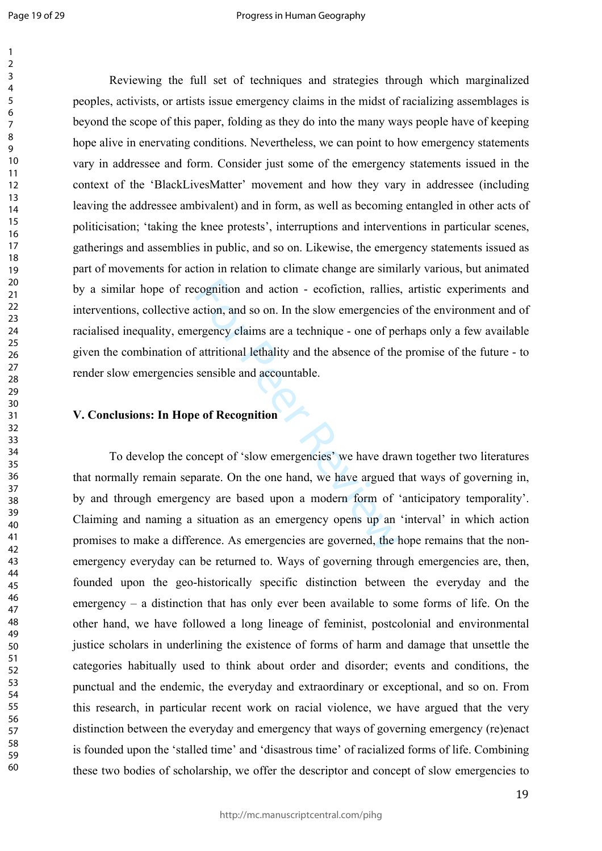$\mathbf{1}$ 

60

cognition and action - ecofiction, rallies<br>action, and so on. In the slow emergencies<br>regency claims are a technique - one of pe<br>attritional lethality and the absence of the<br>sensible and accountable.<br>**e of Recognition**<br>onc Reviewing the full set of techniques and strategies through which marginalized peoples, activists, or artists issue emergency claims in the midst of racializing assemblages is beyond the scope of this paper, folding as they do into the many ways people have of keeping hope alive in enervating conditions. Nevertheless, we can point to how emergency statements vary in addressee and form. Consider just some of the emergency statements issued in the context of the 'BlackLivesMatter' movement and how they vary in addressee (including leaving the addressee ambivalent) and in form, as well as becoming entangled in other acts of politicisation; 'taking the knee protests', interruptions and interventions in particular scenes, gatherings and assemblies in public, and so on. Likewise, the emergency statements issued as part of movements for action in relation to climate change are similarly various, but animated by a similar hope of recognition and action - ecofiction, rallies, artistic experiments and interventions, collective action, and so on. In the slow emergencies of the environment and of racialised inequality, emergency claims are a technique - one of perhaps only a few available given the combination of attritional lethality and the absence of the promise of the future - to render slow emergencies sensible and accountable.

#### **V. Conclusions: In Hope of Recognition**

To develop the concept of 'slow emergencies' we have drawn together two literatures that normally remain separate. On the one hand, we have argued that ways of governing in, by and through emergency are based upon a modern form of 'anticipatory temporality'. Claiming and naming a situation as an emergency opens up an 'interval' in which action promises to make a difference. As emergencies are governed, the hope remains that the nonemergency everyday can be returned to. Ways of governing through emergencies are, then, founded upon the geo-historically specific distinction between the everyday and the emergency – a distinction that has only ever been available to some forms of life. On the other hand, we have followed a long lineage of feminist, postcolonial and environmental justice scholars in underlining the existence of forms of harm and damage that unsettle the categories habitually used to think about order and disorder; events and conditions, the punctual and the endemic, the everyday and extraordinary or exceptional, and so on. From this research, in particular recent work on racial violence, we have argued that the very distinction between the everyday and emergency that ways of governing emergency (re)enact is founded upon the 'stalled time' and 'disastrous time' of racialized forms of life. Combining these two bodies of scholarship, we offer the descriptor and concept of slow emergencies to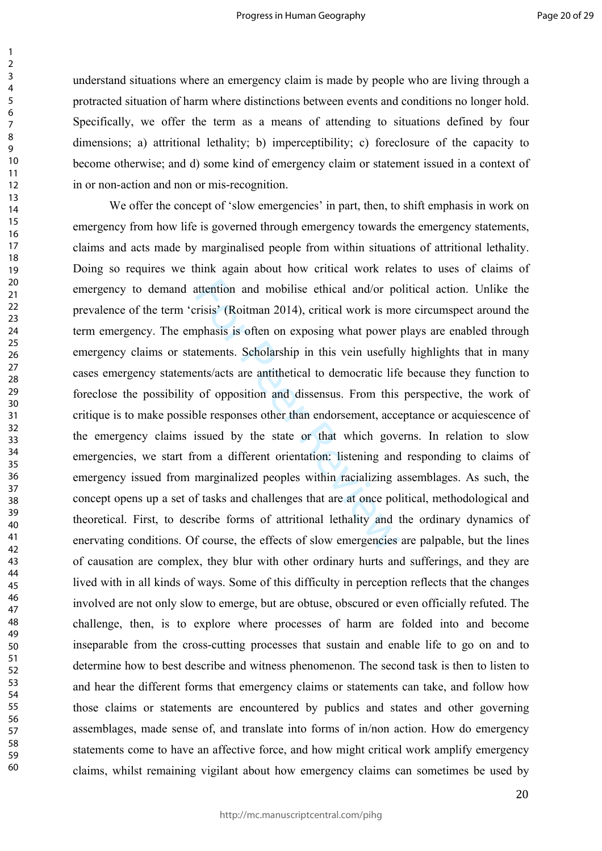understand situations where an emergency claim is made by people who are living through a protracted situation of harm where distinctions between events and conditions no longer hold. Specifically, we offer the term as a means of attending to situations defined by four dimensions; a) attritional lethality; b) imperceptibility; c) foreclosure of the capacity to become otherwise; and d) some kind of emergency claim or statement issued in a context of in or non-action and non or mis-recognition.

attention and mobilise ethical and/or po<br>rrisis' (Roitman 2014), critical work is mo<br>pphasis is often on exposing what power<br>tements. Scholarship in this vein usefull<br>ents/acts are antithetical to democratic life<br>of opposi We offer the concept of 'slow emergencies' in part, then, to shift emphasis in work on emergency from how life is governed through emergency towards the emergency statements, claims and acts made by marginalised people from within situations of attritional lethality. Doing so requires we think again about how critical work relates to uses of claims of emergency to demand attention and mobilise ethical and/or political action. Unlike the prevalence of the term 'crisis' (Roitman 2014), critical work is more circumspect around the term emergency. The emphasis is often on exposing what power plays are enabled through emergency claims or statements. Scholarship in this vein usefully highlights that in many cases emergency statements/acts are antithetical to democratic life because they function to foreclose the possibility of opposition and dissensus. From this perspective, the work of critique is to make possible responses other than endorsement, acceptance or acquiescence of the emergency claims issued by the state or that which governs. In relation to slow emergencies, we start from a different orientation: listening and responding to claims of emergency issued from marginalized peoples within racializing assemblages. As such, the concept opens up a set of tasks and challenges that are at once political, methodological and theoretical. First, to describe forms of attritional lethality and the ordinary dynamics of enervating conditions. Of course, the effects of slow emergencies are palpable, but the lines of causation are complex, they blur with other ordinary hurts and sufferings, and they are lived with in all kinds of ways. Some of this difficulty in perception reflects that the changes involved are not only slow to emerge, but are obtuse, obscured or even officially refuted. The challenge, then, is to explore where processes of harm are folded into and become inseparable from the cross-cutting processes that sustain and enable life to go on and to determine how to best describe and witness phenomenon. The second task is then to listen to and hear the different forms that emergency claims or statements can take, and follow how those claims or statements are encountered by publics and states and other governing assemblages, made sense of, and translate into forms of in/non action. How do emergency statements come to have an affective force, and how might critical work amplify emergency claims, whilst remaining vigilant about how emergency claims can sometimes be used by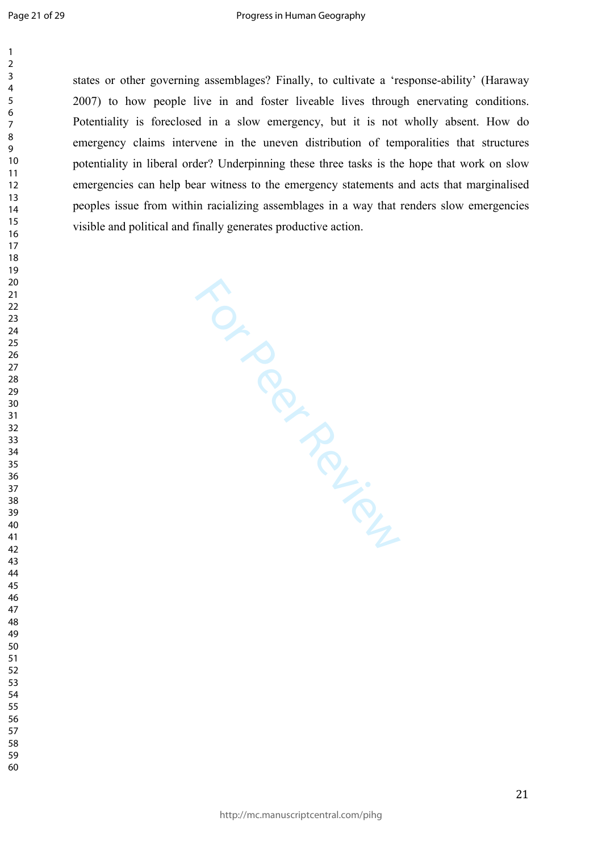$\mathbf{1}$ 

states or other governing assemblages? Finally, to cultivate a 'response-ability' (Haraway 2007) to how people live in and foster liveable lives through enervating conditions. Potentiality is foreclosed in a slow emergency, but it is not wholly absent. How do emergency claims intervene in the uneven distribution of temporalities that structures potentiality in liberal order? Underpinning these three tasks is the hope that work on slow emergencies can help bear witness to the emergency statements and acts that marginalised peoples issue from within racializing assemblages in a way that renders slow emergencies visible and political and finally generates productive action.

For Per Review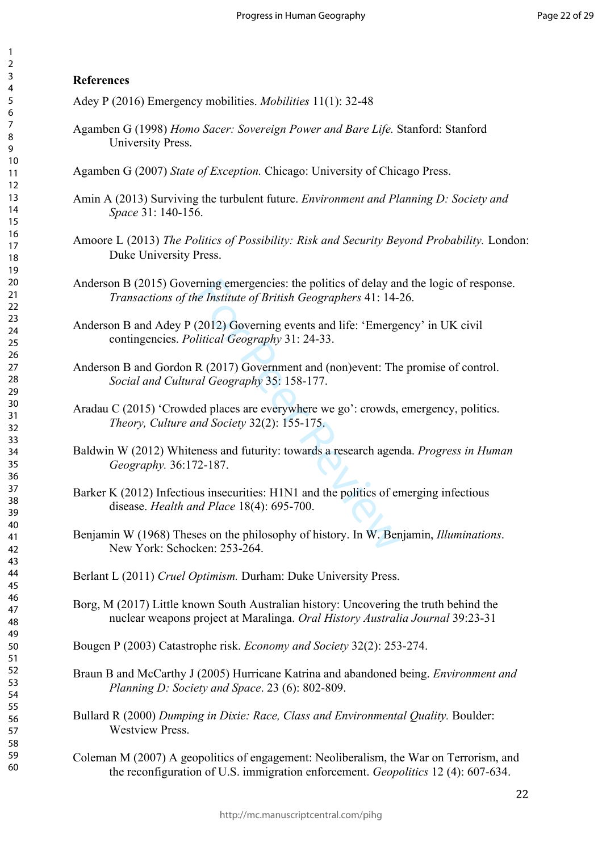## **References**

- Adey P (2016) Emergency mobilities. *Mobilities* 11(1): 32-48
- Agamben G (1998) *Homo Sacer: Sovereign Power and Bare Life.* Stanford: Stanford University Press.
- Agamben G (2007) *State of Exception.* Chicago: University of Chicago Press.
- Amin A (2013) Surviving the turbulent future. *Environment and Planning D: Society and Space* 31: 140-156.
- Amoore L (2013) *The Politics of Possibility: Risk and Security Beyond Probability.* London: Duke University Press.
- Anderson B (2015) Governing emergencies: the politics of delay and the logic of response. *Transactions of the Institute of British Geographers* 41: 14-26.
- Anderson B and Adey P (2012) Governing events and life: 'Emergency' in UK civil contingencies. *Political Geography* 31: 24-33.
- Anderson B and Gordon R (2017) Government and (non)event: The promise of control. *Social and Cultural Geography* 35: 158-177.
- rning emergencies: the politics of delay an<br>*ne Institute of British Geographers* 41: 14-2<br>(2012) Governing events and life: 'Emerge<br>*litical Geography* 31: 24-33.<br>R (2017) Government and (non)event: The<br>*al Geography* 35: Aradau C (2015[\) 'Crowded places are everywhere we go': crowds, emergency, politics.](http://tcs.sagepub.com/content/32/2/155) *Theory, Culture and Society* 32(2): 155-175.
- Baldwin W (2012) [Whiteness and futurity: towards a research agenda.](https://www.dur.ac.uk/geography/staff/geogstaffhidden/?mode=pdetail&id=7618&sid=7618&pdetail=68232) *Progress in Human Geography.* 36:172-187.
- Barker K (2012) Infectious insecurities: H1N1 and the politics of emerging infectious disease. *Health and Place* 18(4): 695-700.
- Benjamin W (1968) Theses on the philosophy of history. In W. Benjamin, *Illuminations*. New York: Schocken: 253-264.

Berlant L (2011) *Cruel Optimism.* Durham: Duke University Press.

- Borg, M (2017) Little known South Australian history: Uncovering the truth behind the nuclear weapons project at Maralinga. *Oral History Australia Journal* 39:23-31
- Bougen P (2003) Catastrophe risk. *Economy and Society* 32(2): 253-274.
- Braun B and McCarthy J (2005) Hurricane Katrina and abandoned being. *Environment and Planning D: Society and Space*. 23 (6): 802-809.
- Bullard R (2000) *Dumping in Dixie: Race, Class and Environmental Quality.* Boulder: Westview Press.
- Coleman M (2007) A geopolitics of engagement: Neoliberalism, the War on Terrorism, and the reconfiguration of U.S. immigration enforcement. *Geopolitics* 12 (4): 607-634.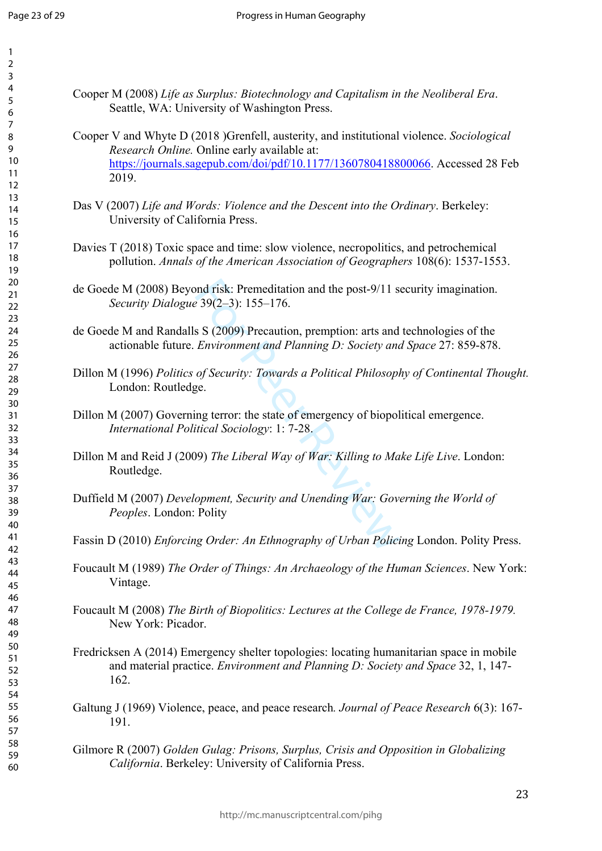$\mathbf{1}$  $\overline{2}$  $\overline{3}$  $\overline{4}$ 5 6  $\overline{7}$ 8 9

| $\overline{\mathbf{c}}$<br>3           |                                                                                                                                                                                                                                     |
|----------------------------------------|-------------------------------------------------------------------------------------------------------------------------------------------------------------------------------------------------------------------------------------|
| 4<br>5<br>6                            | Cooper M (2008) Life as Surplus: Biotechnology and Capitalism in the Neoliberal Era.<br>Seattle, WA: University of Washington Press.                                                                                                |
| $\boldsymbol{7}$<br>8<br>9<br>10<br>11 | Cooper V and Whyte D (2018 )Grenfell, austerity, and institutional violence. Sociological<br>Research Online. Online early available at:<br>https://journals.sagepub.com/doi/pdf/10.1177/1360780418800066. Accessed 28 Feb<br>2019. |
| 12<br>13<br>14<br>15                   | Das V (2007) Life and Words: Violence and the Descent into the Ordinary. Berkeley:<br>University of California Press.                                                                                                               |
| 16<br>17<br>18<br>19                   | Davies T (2018) Toxic space and time: slow violence, necropolitics, and petrochemical<br>pollution. Annals of the American Association of Geographers 108(6): 1537-1553.                                                            |
| 20<br>21<br>22<br>23                   | de Goede M (2008) Beyond risk: Premeditation and the post-9/11 security imagination.<br>Security Dialogue 39(2-3): 155-176.                                                                                                         |
| 24<br>25<br>26                         | de Goede M and Randalls S (2009) Precaution, premption: arts and technologies of the<br>actionable future. Environment and Planning D: Society and Space 27: 859-878.                                                               |
| 27<br>28<br>29<br>30                   | Dillon M (1996) Politics of Security: Towards a Political Philosophy of Continental Thought.<br>London: Routledge.                                                                                                                  |
| 31<br>32<br>33                         | Dillon M (2007) Governing terror: the state of emergency of biopolitical emergence.<br>International Political Sociology: 1: 7-28.                                                                                                  |
| 34<br>35<br>36<br>37                   | Dillon M and Reid J (2009) The Liberal Way of War: Killing to Make Life Live. London:<br>Routledge.                                                                                                                                 |
| 38<br>39<br>40                         | Duffield M (2007) Development, Security and Unending War: Governing the World of<br><i>Peoples.</i> London: Polity                                                                                                                  |
| 41<br>42                               | Fassin D (2010) Enforcing Order: An Ethnography of Urban Policing London. Polity Press.                                                                                                                                             |
| 43<br>44<br>45<br>46                   | Foucault M (1989) The Order of Things: An Archaeology of the Human Sciences. New York:<br>Vintage.                                                                                                                                  |
| 47<br>48<br>49                         | Foucault M (2008) The Birth of Biopolitics: Lectures at the College de France, 1978-1979.<br>New York: Picador.                                                                                                                     |
| 50<br>51<br>52<br>53<br>54             | Fredricksen A (2014) Emergency shelter topologies: locating humanitarian space in mobile<br>and material practice. <i>Environment and Planning D: Society and Space</i> 32, 1, 147-<br>162.                                         |
| 55<br>56<br>57                         | Galtung J (1969) Violence, peace, and peace research. Journal of Peace Research 6(3): 167-<br>191.                                                                                                                                  |
| 58<br>59<br>60                         | Gilmore R (2007) Golden Gulag: Prisons, Surplus, Crisis and Opposition in Globalizing<br>California. Berkeley: University of California Press.                                                                                      |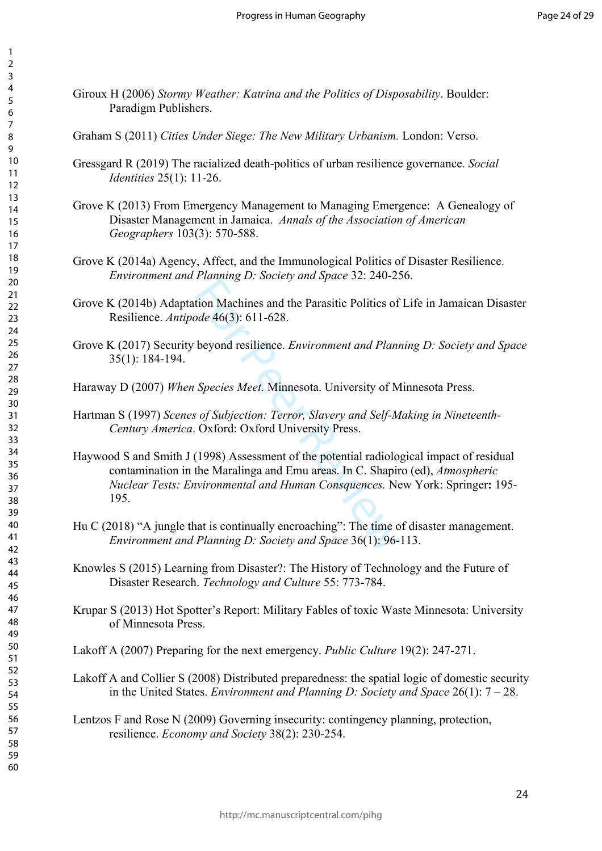| Giroux H (2006) Stormy Weather: Katrina and the Politics of Disposability. Boulder:<br>Paradigm Publishers.                                                                                                                                                       |
|-------------------------------------------------------------------------------------------------------------------------------------------------------------------------------------------------------------------------------------------------------------------|
| Graham S (2011) Cities Under Siege: The New Military Urbanism. London: Verso.                                                                                                                                                                                     |
| Gressgard R (2019) The racialized death-politics of urban resilience governance. Social<br><i>Identities</i> 25(1): 11-26.                                                                                                                                        |
| Grove K (2013) From Emergency Management to Managing Emergence: A Genealogy of<br>Disaster Management in Jamaica. Annals of the Association of American<br>Geographers 103(3): 570-588.                                                                           |
| Grove K (2014a) Agency, Affect, and the Immunological Politics of Disaster Resilience.<br>Environment and Planning D: Society and Space 32: 240-256.                                                                                                              |
| Grove K (2014b) Adaptation Machines and the Parasitic Politics of Life in Jamaican Disaster<br>Resilience. Antipode 46(3): 611-628.                                                                                                                               |
| Grove K (2017) Security beyond resilience. Environment and Planning D: Society and Space<br>$35(1)$ : 184-194.                                                                                                                                                    |
| Haraway D (2007) When Species Meet. Minnesota. University of Minnesota Press.                                                                                                                                                                                     |
| Hartman S (1997) Scenes of Subjection: Terror, Slavery and Self-Making in Nineteenth-<br>Century America. Oxford: Oxford University Press.                                                                                                                        |
| Haywood S and Smith J (1998) Assessment of the potential radiological impact of residual<br>contamination in the Maralinga and Emu areas. In C. Shapiro (ed), Atmospheric<br>Nuclear Tests: Environmental and Human Consquences. New York: Springer: 195-<br>195. |
| Hu C (2018) "A jungle that is continually encroaching": The time of disaster management.<br>Environment and Planning D: Society and Space 36(1): 96-113.                                                                                                          |
| Knowles S (2015) Learning from Disaster?: The History of Technology and the Future of<br>Disaster Research. Technology and Culture 55: 773-784.                                                                                                                   |
| Krupar S (2013) Hot Spotter's Report: Military Fables of toxic Waste Minnesota: University<br>of Minnesota Press.                                                                                                                                                 |
| Lakoff A (2007) Preparing for the next emergency. Public Culture 19(2): 247-271.                                                                                                                                                                                  |
| Lakoff A and Collier S (2008) Distributed preparedness: the spatial logic of domestic security<br>in the United States. <i>Environment and Planning D: Society and Space</i> $26(1)$ : $7 - 28$ .                                                                 |
| Lentzos F and Rose N (2009) Governing insecurity: contingency planning, protection,                                                                                                                                                                               |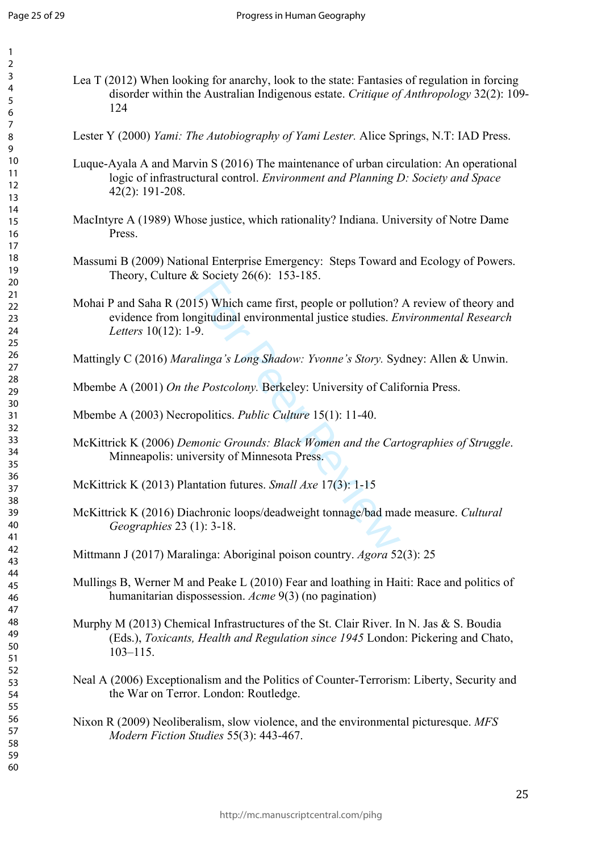$\mathbf{1}$ 

60

For Peer Review 2009. The Tiest.<br>
15) Which came first, people or pollution?<br>
19.<br>
Ilinga's Long Shadow: Yvonne's Story. Sy<br>
2 Postcolony. Berkeley: University of Cali<br>
19.<br>
politics. Public Culture 15(1): 11-40.<br>
nonic G Lea T (2012) When looking for anarchy, look to the state: Fantasies of regulation in forcing disorder within the Australian Indigenous estate. *Critique of Anthropology* 32(2): 109- 124 Lester Y (2000) *Yami: The Autobiography of Yami Lester.* Alice Springs, N.T: IAD Press. Luque-Ayala A and Marvin S (2016) The maintenance of urban circulation: An operational logic of infrastructural control. *Environment and Planning D: Society and Space* 42(2): 191-208. MacIntyre A (1989) Whose justice, which rationality? Indiana. University of Notre Dame Press. Massumi B (2009) National Enterprise Emergency: Steps Toward and Ecology of Powers. Theory, Culture & Society 26(6): 153-185. Mohai P and Saha R (2015) Which came first, people or pollution? A review of theory and evidence from longitudinal environmental justice studies. *Environmental Research Letters* 10(12): 1-9. Mattingly C (2016) *Maralinga's Long Shadow: Yvonne's Story.* Sydney: Allen & Unwin. Mbembe A (2001) *On the Postcolony.* Berkeley: University of California Press. Mbembe A (2003) Necropolitics. *Public Culture* 15(1): 11-40. McKittrick K (2006) *Demonic Grounds: Black Women and the Cartographies of Struggle*. Minneapolis: university of Minnesota Press. McKittrick K (2013) Plantation futures. *Small Axe* 17(3): 1-15 McKittrick K (2016) Diachronic loops/deadweight tonnage/bad made measure. *Cultural Geographies* 23 (1): 3-18. Mittmann J (2017) Maralinga: Aboriginal poison country. *Agora* 52(3): 25 Mullings B, Werner M and Peake L (2010) Fear and loathing in Haiti: Race and politics of humanitarian dispossession. *Acme* 9(3) (no pagination) Murphy M (2013) Chemical Infrastructures of the St. Clair River. In N. Jas & S. Boudia (Eds.), *Toxicants, Health and Regulation since 1945* London: Pickering and Chato, 103–115. Neal A (2006) Exceptionalism and the Politics of Counter-Terrorism: Liberty, Security and the War on Terror. London: Routledge. Nixon R (2009) Neoliberalism, slow violence, and the environmental picturesque. *MFS Modern Fiction Studies* 55(3): 443-467.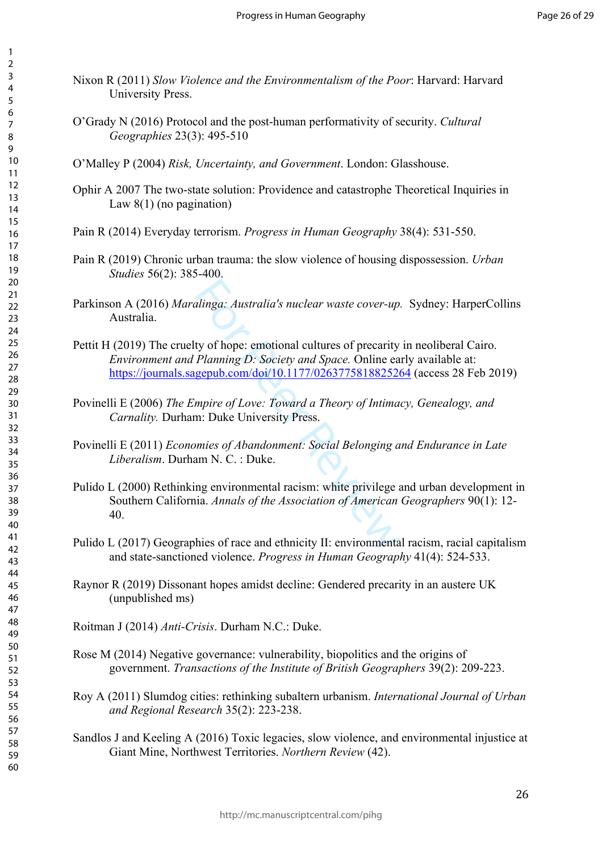- alinga: Australia's nuclear waste cover-up.<br>ty of hope: emotional cultures of precarity<br>Planning D: Society and Space. Online ea<br>gepub.com/doi/10.1177/026377581882522<br>mpire of Love: Toward a Theory of Intima<br>m: Duke Univer Nixon R (2011) *Slow Violence and the Environmentalism of the Poor*: Harvard: Harvard University Press. O'Grady N (2016) Protocol and the post-human performativity of security. *Cultural Geographies* 23(3): 495-510 O'Malley P (2004) *Risk, Uncertainty, and Government*. London: Glasshouse. Ophir A 2007 The two-state solution: Providence and catastrophe Theoretical Inquiries in Law 8(1) (no pagination) Pain R (2014) Everyday terrorism. *Progress in Human Geography* 38(4): 531-550. Pain R (2019) Chronic urban trauma: the slow violence of housing dispossession. *Urban Studies* 56(2): 385-400. Parkinson A (2016) *Maralinga: Australia's nuclear waste cover-up.* Sydney: HarperCollins Australia. Pettit H (2019) The cruelty of hope: emotional cultures of precarity in neoliberal Cairo. *Environment and Planning D: Society and Space.* Online early available at: <https://journals.sagepub.com/doi/10.1177/0263775818825264> (access 28 Feb 2019) Povinelli E (2006) *The Empire of Love: Toward a Theory of Intimacy, Genealogy, and Carnality.* Durham: Duke University Press. Povinelli E (2011) *Economies of Abandonment: Social Belonging and Endurance in Late Liberalism*. Durham N. C. : Duke. Pulido L (2000) Rethinking environmental racism: white privilege and urban development in Southern California. *Annals of the Association of American Geographers* 90(1): 12- 40. Pulido L (2017) Geographies of race and ethnicity II: environmental racism, racial capitalism and state-sanctioned violence. *Progress in Human Geography* 41(4): 524-533. Raynor R (2019) Dissonant hopes amidst decline: Gendered precarity in an austere UK (unpublished ms) Roitman J (2014) *Anti-Crisis*. Durham N.C.: Duke.
	- Rose M (2014) Negative governance: vulnerability, biopolitics and the origins of government. *Transactions of the Institute of British Geographers* 39(2): 209-223.
	- Roy A (2011) Slumdog cities: rethinking subaltern urbanism. *International Journal of Urban and Regional Research* 35(2): 223-238.
	- Sandlos J and Keeling A (2016) Toxic legacies, slow violence, and environmental injustice at Giant Mine, Northwest Territories. *Northern Review* (42).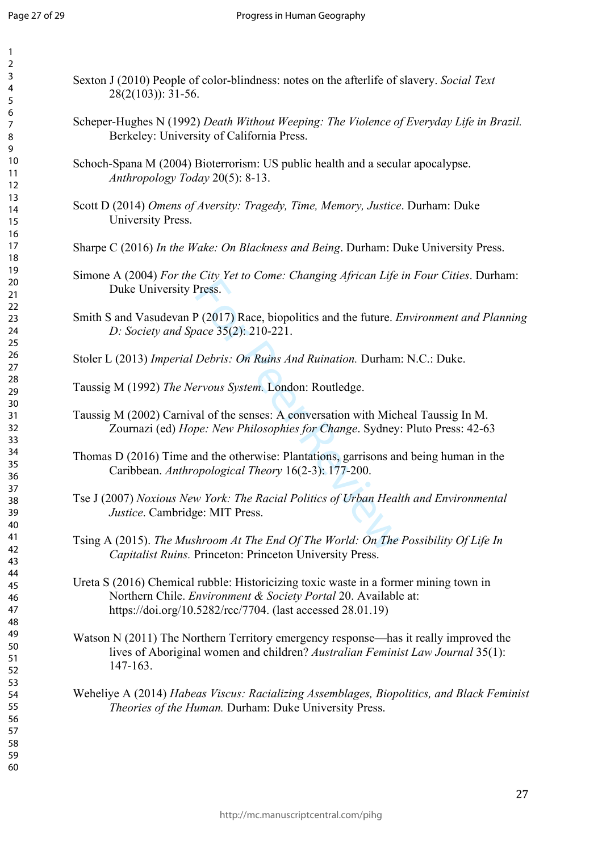| 1                                         |  |
|-------------------------------------------|--|
| 2                                         |  |
| 3                                         |  |
| 4                                         |  |
| 5                                         |  |
| 6                                         |  |
|                                           |  |
| 8                                         |  |
|                                           |  |
| 9                                         |  |
| 10                                        |  |
| 1<br>1                                    |  |
| $\mathbf{1}$<br>$\overline{c}$            |  |
| 13                                        |  |
| 1<br>4                                    |  |
| 15                                        |  |
| 16                                        |  |
| 1                                         |  |
| 18                                        |  |
| 19                                        |  |
| 20                                        |  |
| $\overline{21}$                           |  |
| 21<br>,                                   |  |
| 23                                        |  |
|                                           |  |
| $^{24}$                                   |  |
| 25                                        |  |
| 26                                        |  |
| 27                                        |  |
| 28                                        |  |
| 29                                        |  |
| 30                                        |  |
| $\overline{\textbf{3}}$                   |  |
| $\overline{\mathbf{3}}$<br>$\overline{2}$ |  |
| $\overline{\mathbf{3}}$<br>ξ              |  |
| 34                                        |  |
| 35                                        |  |
|                                           |  |
| 36                                        |  |
| 37                                        |  |
| 38                                        |  |
| 39                                        |  |
| 40                                        |  |
| 41                                        |  |
| 42                                        |  |
| 43                                        |  |
| 44                                        |  |
| 45                                        |  |
| 46                                        |  |
| 47                                        |  |
| 48                                        |  |
| 49                                        |  |
| 50                                        |  |
| 51                                        |  |
| 52                                        |  |
|                                           |  |
| 53                                        |  |
| 54                                        |  |
| 55                                        |  |
| 56                                        |  |
| 57                                        |  |
| 58                                        |  |
| 59                                        |  |
| 60                                        |  |

Sexton J (2010) People of color-blindness: notes on the afterlife of slavery. *Social Text*  28(2(103)): 31-56.

- Scheper-Hughes N (1992) *Death Without Weeping: The Violence of Everyday Life in Brazil.*  Berkeley: University of California Press.
- Schoch-Spana M (2004) Bioterrorism: US public health and a secular apocalypse. *Anthropology Today* 20(5): 8-13.
- Scott D (2014) *Omens of Aversity: Tragedy, Time, Memory, Justice*. Durham: Duke University Press.
- Sharpe C (2016) *In the Wake: On Blackness and Being*. Durham: Duke University Press.
- Simone A (2004) *For the City Yet to Come: Changing African Life in Four Cities*. Durham: Duke University Press.
- Press.<br>
P(2017) Race, biopolitics and the future. *E*<br> *Hace 35(2): 210-221.*<br> *Debris: On Ruins And Ruination.* Durham<br> *Prvous System.* London: Routledge.<br>
al of the senses: A conversation with Michael Sydney<br> *Peer. New* Smith S and Vasudevan P (2017) Race, biopolitics and the future. *Environment and Planning D: Society and Space* 35(2): 210-221.
- Stoler L (2013) *Imperial Debris: On Ruins And Ruination.* Durham: N.C.: Duke.
- Taussig M (1992) *The Nervous System.* London: Routledge.
- Taussig M (2002) Carnival of the senses: A conversation with Micheal Taussig In M. Zournazi (ed) *Hope: New Philosophies for Change*. Sydney: Pluto Press: 42-63
- Thomas D (2016) Time and the otherwise: Plantations, garrisons and being human in the Caribbean. *Anthropological Theory* 16(2-3): 177-200.
- Tse J (2007) *Noxious New York: The Racial Politics of Urban Health and Environmental Justice*. Cambridge: MIT Press.
- Tsing A (2015). *The Mushroom At The End Of The World: On The Possibility Of Life In Capitalist Ruins.* Princeton: Princeton University Press.
- Ureta S (2016) Chemical rubble: Historicizing toxic waste in a former mining town in Northern Chile. *Environment & Society Portal* 20. Available at: <https://doi.org/10.5282/rcc/7704>. (last accessed 28.01.19)
- Watson N (2011) The Northern Territory emergency response—has it really improved the lives of Aboriginal women and children? *Australian Feminist Law Journal* 35(1): 147-163.
- Weheliye A (2014) *Habeas Viscus: Racializing Assemblages, Biopolitics, and Black Feminist Theories of the Human.* Durham: Duke University Press.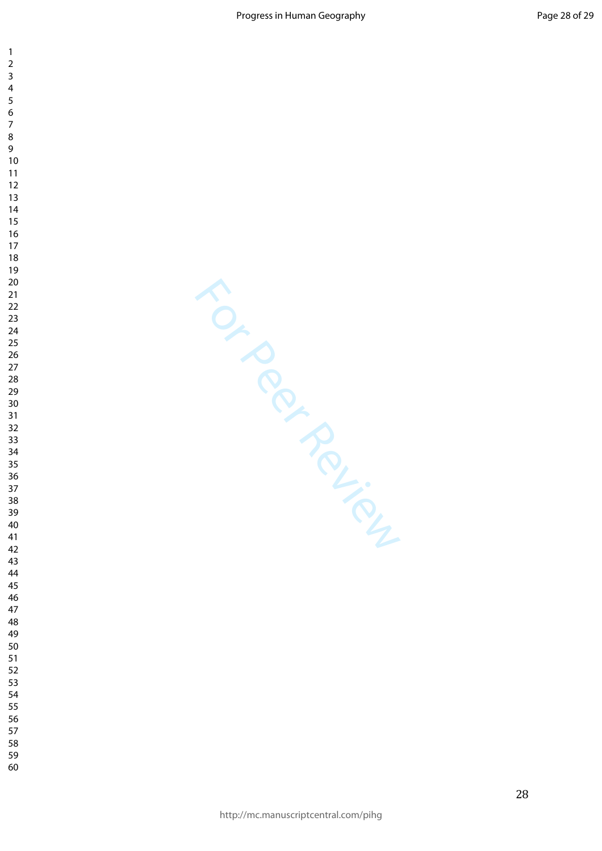$\mathbf{1}$  $\overline{2}$  $\overline{3}$ 

- 
- 
- 
- 
- 

http://mc.manuscriptcentral.com/pihg

For Per Ferrier